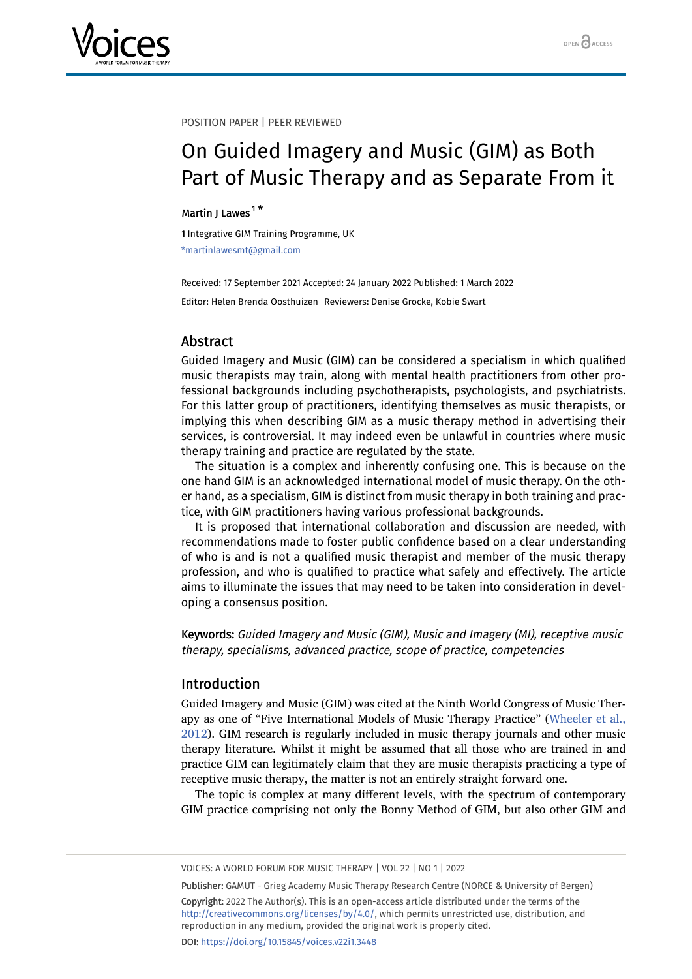

POSITION PAPER | PEER REVIEWED

# On Guided Imagery and Music (GIM) as Both Part of Music Therapy and as Separate From it

# Martin J Lawes<sup>[1](#page-0-0)\*</sup>

<span id="page-0-0"></span>1 Integrative GIM Training Programme, UK \*martinlawesmt@gmail.com

Received: 17 September 2021 Accepted: 24 January 2022 Published: 1 March 2022 Editor: Helen Brenda Oosthuizen Reviewers: Denise Grocke, Kobie Swart

# Abstract

Guided Imagery and Music (GIM) can be considered a specialism in which qualified music therapists may train, along with mental health practitioners from other professional backgrounds including psychotherapists, psychologists, and psychiatrists. For this latter group of practitioners, identifying themselves as music therapists, or implying this when describing GIM as a music therapy method in advertising their services, is controversial. It may indeed even be unlawful in countries where music therapy training and practice are regulated by the state.

The situation is a complex and inherently confusing one. This is because on the one hand GIM is an acknowledged international model of music therapy. On the other hand, as a specialism, GIM is distinct from music therapy in both training and practice, with GIM practitioners having various professional backgrounds.

It is proposed that international collaboration and discussion are needed, with recommendations made to foster public confidence based on a clear understanding of who is and is not a qualified music therapist and member of the music therapy profession, and who is qualified to practice what safely and effectively. The article aims to illuminate the issues that may need to be taken into consideration in developing a consensus position.

Keywords: Guided Imagery and Music (GIM), Music and Imagery (MI), receptive music therapy, specialisms, advanced practice, scope of practice, competencies

# Introduction

Guided Imagery and Music (GIM) was cited at the Ninth World Congress of Music Therapy as one of "Five International Models of Music Therapy Practice" ([Wheeler et al.,](#page-24-0) [2012](#page-24-0)). GIM research is regularly included in music therapy journals and other music therapy literature. Whilst it might be assumed that all those who are trained in and practice GIM can legitimately claim that they are music therapists practicing a type of receptive music therapy, the matter is not an entirely straight forward one.

The topic is complex at many different levels, with the spectrum of contemporary GIM practice comprising not only the Bonny Method of GIM, but also other GIM and

VOICES: A WORLD FORUM FOR MUSIC THERAPY | VOL 22 | NO 1 | 2022

Publisher: GAMUT - Grieg Academy Music Therapy Research Centre (NORCE & University of Bergen) Copyright: 2022 The Author(s). This is an open-access article distributed under the terms of the <http://creativecommons.org/licenses/by/4.0/>, which permits unrestricted use, distribution, and reproduction in any medium, provided the original work is properly cited. DOI: <https://doi.org/10.15845/voices.v22i1.3448>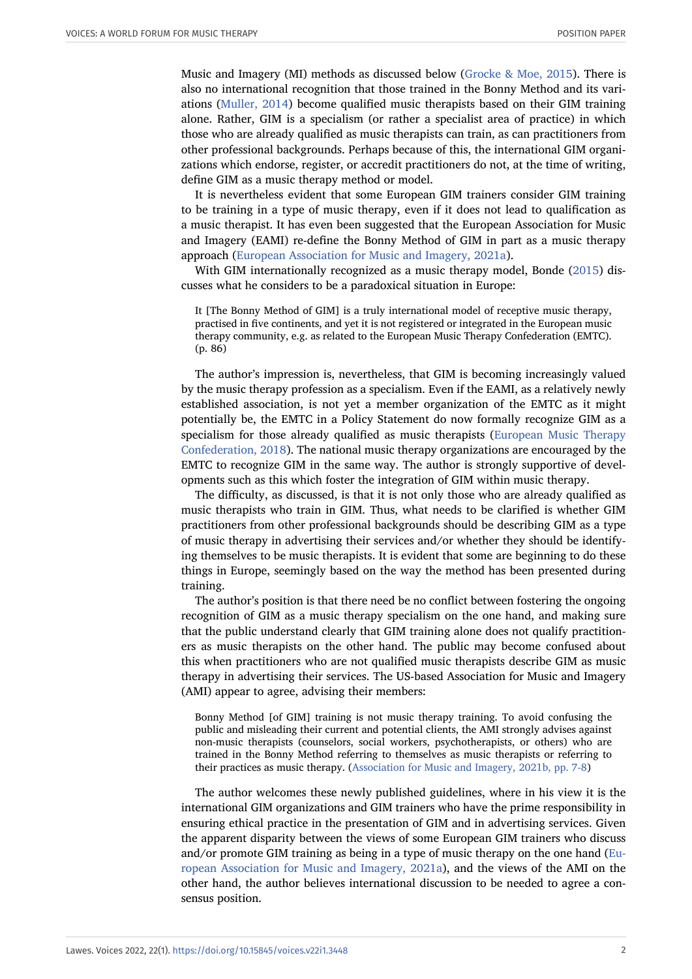Music and Imagery (MI) methods as discussed below ([Grocke & Moe, 2015\)](#page-23-0). There is also no international recognition that those trained in the Bonny Method and its variations ([Muller, 2014](#page-23-1)) become qualified music therapists based on their GIM training alone. Rather, GIM is a specialism (or rather a specialist area of practice) in which those who are already qualified as music therapists can train, as can practitioners from other professional backgrounds. Perhaps because of this, the international GIM organizations which endorse, register, or accredit practitioners do not, at the time of writing, define GIM as a music therapy method or model.

It is nevertheless evident that some European GIM trainers consider GIM training to be training in a type of music therapy, even if it does not lead to qualification as a music therapist. It has even been suggested that the European Association for Music and Imagery (EAMI) re-define the Bonny Method of GIM in part as a music therapy approach ([European Association for Music and Imagery, 2021a\)](#page-22-0).

With GIM internationally recognized as a music therapy model, Bonde ([2015](#page-22-1)) discusses what he considers to be a paradoxical situation in Europe:

It [The Bonny Method of GIM] is a truly international model of receptive music therapy, practised in five continents, and yet it is not registered or integrated in the European music therapy community, e.g. as related to the European Music Therapy Confederation (EMTC). (p. 86)

The author's impression is, nevertheless, that GIM is becoming increasingly valued by the music therapy profession as a specialism. Even if the EAMI, as a relatively newly established association, is not yet a member organization of the EMTC as it might potentially be, the EMTC in a Policy Statement do now formally recognize GIM as a specialism for those already qualified as music therapists [\(European Music Therapy](#page-22-2) [Confederation, 2018](#page-22-2)). The national music therapy organizations are encouraged by the EMTC to recognize GIM in the same way. The author is strongly supportive of developments such as this which foster the integration of GIM within music therapy.

The difficulty, as discussed, is that it is not only those who are already qualified as music therapists who train in GIM. Thus, what needs to be clarified is whether GIM practitioners from other professional backgrounds should be describing GIM as a type of music therapy in advertising their services and/or whether they should be identifying themselves to be music therapists. It is evident that some are beginning to do these things in Europe, seemingly based on the way the method has been presented during training.

The author's position is that there need be no conflict between fostering the ongoing recognition of GIM as a music therapy specialism on the one hand, and making sure that the public understand clearly that GIM training alone does not qualify practitioners as music therapists on the other hand. The public may become confused about this when practitioners who are not qualified music therapists describe GIM as music therapy in advertising their services. The US-based Association for Music and Imagery (AMI) appear to agree, advising their members:

Bonny Method [of GIM] training is not music therapy training. To avoid confusing the public and misleading their current and potential clients, the AMI strongly advises against non-music therapists (counselors, social workers, psychotherapists, or others) who are trained in the Bonny Method referring to themselves as music therapists or referring to their practices as music therapy. [\(Association for Music and Imagery, 2021b, pp. 7-8](#page-21-0))

The author welcomes these newly published guidelines, where in his view it is the international GIM organizations and GIM trainers who have the prime responsibility in ensuring ethical practice in the presentation of GIM and in advertising services. Given the apparent disparity between the views of some European GIM trainers who discuss and/or promote GIM training as being in a type of music therapy on the one hand ([Eu](#page-22-0)[ropean Association for Music and Imagery, 2021a\)](#page-22-0), and the views of the AMI on the other hand, the author believes international discussion to be needed to agree a consensus position.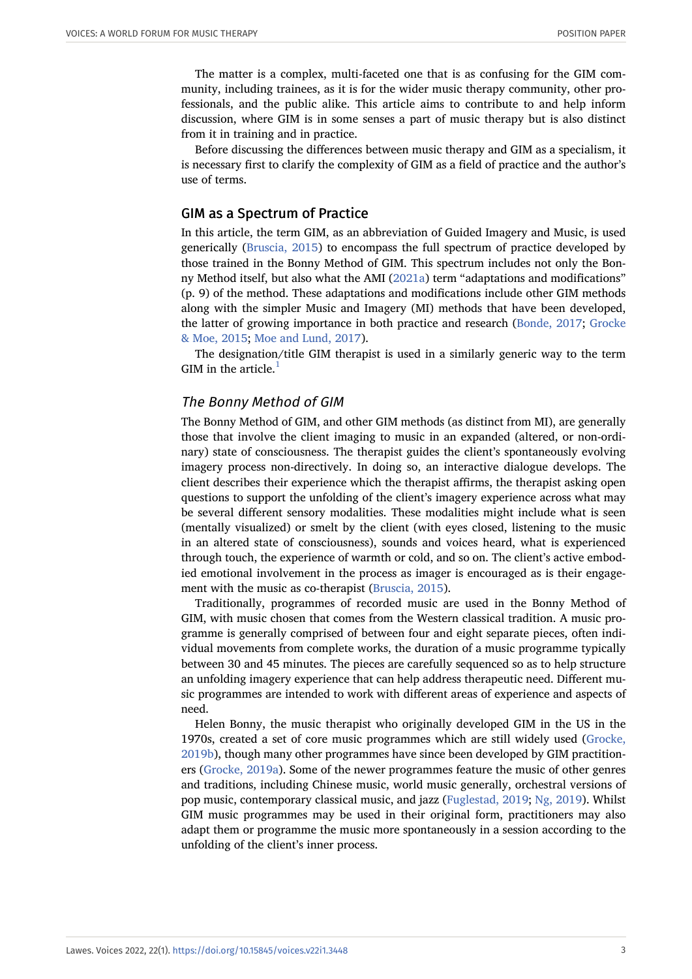The matter is a complex, multi-faceted one that is as confusing for the GIM community, including trainees, as it is for the wider music therapy community, other professionals, and the public alike. This article aims to contribute to and help inform discussion, where GIM is in some senses a part of music therapy but is also distinct from it in training and in practice.

Before discussing the differences between music therapy and GIM as a specialism, it is necessary first to clarify the complexity of GIM as a field of practice and the author's use of terms.

#### GIM as a Spectrum of Practice

In this article, the term GIM, as an abbreviation of Guided Imagery and Music, is used generically [\(Bruscia, 2015\)](#page-22-1) to encompass the full spectrum of practice developed by those trained in the Bonny Method of GIM. This spectrum includes not only the Bonny Method itself, but also what the AMI [\(2021a\)](#page-21-1) term "adaptations and modifications" (p. 9) of the method. These adaptations and modifications include other GIM methods along with the simpler Music and Imagery (MI) methods that have been developed, the latter of growing importance in both practice and research ([Bonde, 2017](#page-22-3); [Grocke](#page-23-0) [& Moe, 2015](#page-23-0); [Moe and Lund, 2017\)](#page-23-2).

The designation/title GIM therapist is used in a similarly generic way to the term GIM in the article. $<sup>1</sup>$  $<sup>1</sup>$  $<sup>1</sup>$ </sup>

#### The Bonny Method of GIM

The Bonny Method of GIM, and other GIM methods (as distinct from MI), are generally those that involve the client imaging to music in an expanded (altered, or non-ordinary) state of consciousness. The therapist guides the client's spontaneously evolving imagery process non-directively. In doing so, an interactive dialogue develops. The client describes their experience which the therapist affirms, the therapist asking open questions to support the unfolding of the client's imagery experience across what may be several different sensory modalities. These modalities might include what is seen (mentally visualized) or smelt by the client (with eyes closed, listening to the music in an altered state of consciousness), sounds and voices heard, what is experienced through touch, the experience of warmth or cold, and so on. The client's active embodied emotional involvement in the process as imager is encouraged as is their engagement with the music as co-therapist [\(Bruscia, 2015\)](#page-22-1).

Traditionally, programmes of recorded music are used in the Bonny Method of GIM, with music chosen that comes from the Western classical tradition. A music programme is generally comprised of between four and eight separate pieces, often individual movements from complete works, the duration of a music programme typically between 30 and 45 minutes. The pieces are carefully sequenced so as to help structure an unfolding imagery experience that can help address therapeutic need. Different music programmes are intended to work with different areas of experience and aspects of need.

Helen Bonny, the music therapist who originally developed GIM in the US in the 1970s, created a set of core music programmes which are still widely used ([Grocke,](#page-22-4) [2019b\)](#page-22-4), though many other programmes have since been developed by GIM practitioners [\(Grocke, 2019a\)](#page-22-5). Some of the newer programmes feature the music of other genres and traditions, including Chinese music, world music generally, orchestral versions of pop music, contemporary classical music, and jazz ([Fuglestad, 2019;](#page-22-6) [Ng, 2019\)](#page-23-3). Whilst GIM music programmes may be used in their original form, practitioners may also adapt them or programme the music more spontaneously in a session according to the unfolding of the client's inner process.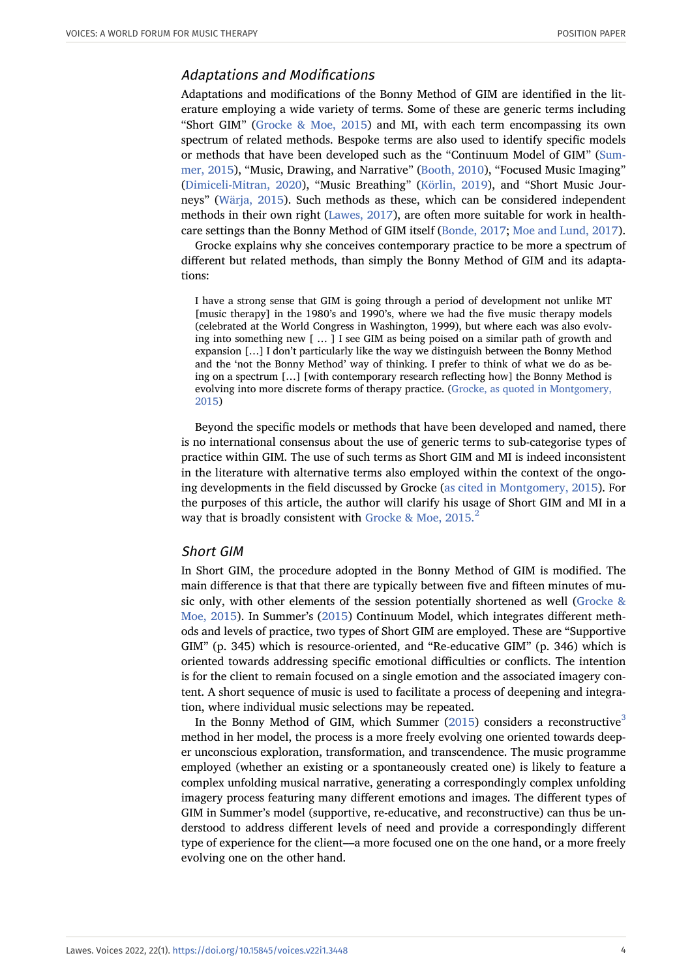# Adaptations and Modifications

Adaptations and modifications of the Bonny Method of GIM are identified in the literature employing a wide variety of terms. Some of these are generic terms including "Short GIM" (Grocke  $\&$  Moe, 2015) and MI, with each term encompassing its own spectrum of related methods. Bespoke terms are also used to identify specific models or methods that have been developed such as the "Continuum Model of GIM" ([Sum](#page-24-1)[mer, 2015](#page-24-1)), "Music, Drawing, and Narrative" [\(Booth, 2010\)](#page-22-7), "Focused Music Imaging" ([Dimiceli-Mitran, 2020\)](#page-22-8), "Music Breathing" [\(Körlin, 2019\)](#page-23-4), and "Short Music Journeys" [\(Wärja, 2015](#page-24-2)). Such methods as these, which can be considered independent methods in their own right ([Lawes, 2017](#page-23-5)), are often more suitable for work in healthcare settings than the Bonny Method of GIM itself [\(Bonde, 2017;](#page-22-3) [Moe and Lund, 2017](#page-23-2)).

Grocke explains why she conceives contemporary practice to be more a spectrum of different but related methods, than simply the Bonny Method of GIM and its adaptations:

I have a strong sense that GIM is going through a period of development not unlike MT [music therapy] in the 1980's and 1990's, where we had the five music therapy models (celebrated at the World Congress in Washington, 1999), but where each was also evolving into something new [ … ] I see GIM as being poised on a similar path of growth and expansion […] I don't particularly like the way we distinguish between the Bonny Method and the 'not the Bonny Method' way of thinking. I prefer to think of what we do as being on a spectrum […] [with contemporary research reflecting how] the Bonny Method is evolving into more discrete forms of therapy practice. ([Grocke, as quoted in Montgomery,](#page-23-0) [2015](#page-23-0))

Beyond the specific models or methods that have been developed and named, there is no international consensus about the use of generic terms to sub-categorise types of practice within GIM. The use of such terms as Short GIM and MI is indeed inconsistent in the literature with alternative terms also employed within the context of the ongoing developments in the field discussed by Grocke [\(as cited in Montgomery, 2015\)](#page-23-6). For the purposes of this article, the author will clarify his usage of Short GIM and MI in a way that is broadly consistent with Grocke & Moe,  $2015.<sup>2</sup>$  $2015.<sup>2</sup>$ 

#### Short GIM

In Short GIM, the procedure adopted in the Bonny Method of GIM is modified. The main difference is that that there are typically between five and fifteen minutes of music only, with other elements of the session potentially shortened as well [\(Grocke &](#page-23-0) [Moe, 2015\)](#page-23-0). In Summer's ([2015](#page-24-1)) Continuum Model, which integrates different methods and levels of practice, two types of Short GIM are employed. These are "Supportive GIM" (p. 345) which is resource-oriented, and "Re-educative GIM" (p. 346) which is oriented towards addressing specific emotional difficulties or conflicts. The intention is for the client to remain focused on a single emotion and the associated imagery content. A short sequence of music is used to facilitate a process of deepening and integration, where individual music selections may be repeated.

In the Bonny Method of GIM, which Summer  $(2015)$  considers a reconstructive<sup>[3](#page-19-0)</sup> method in her model, the process is a more freely evolving one oriented towards deeper unconscious exploration, transformation, and transcendence. The music programme employed (whether an existing or a spontaneously created one) is likely to feature a complex unfolding musical narrative, generating a correspondingly complex unfolding imagery process featuring many different emotions and images. The different types of GIM in Summer's model (supportive, re-educative, and reconstructive) can thus be understood to address different levels of need and provide a correspondingly different type of experience for the client––a more focused one on the one hand, or a more freely evolving one on the other hand.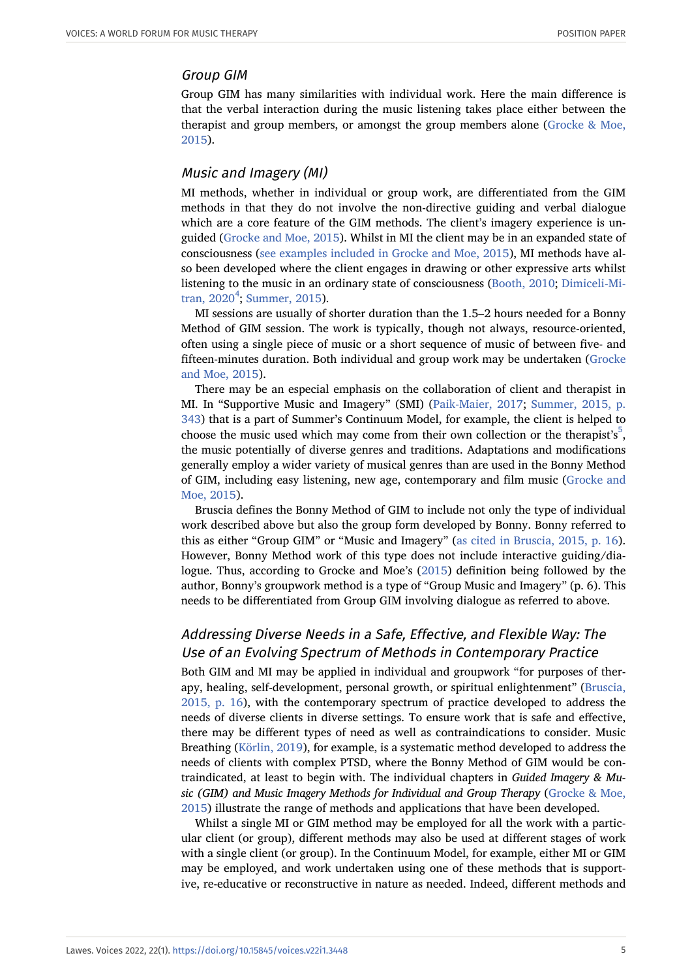#### Group GIM

Group GIM has many similarities with individual work. Here the main difference is that the verbal interaction during the music listening takes place either between the therapist and group members, or amongst the group members alone [\(Grocke & Moe,](#page-23-0) [2015](#page-23-0)).

# Music and Imagery (MI)

MI methods, whether in individual or group work, are differentiated from the GIM methods in that they do not involve the non-directive guiding and verbal dialogue which are a core feature of the GIM methods. The client's imagery experience is unguided [\(Grocke and Moe, 2015](#page-23-0)). Whilst in MI the client may be in an expanded state of consciousness ([see examples included in Grocke and Moe, 2015](#page-23-0)), MI methods have also been developed where the client engages in drawing or other expressive arts whilst listening to the music in an ordinary state of consciousness [\(Booth, 2010;](#page-22-7) [Dimiceli-Mi](#page-22-8)tran,  $2020^4$  $2020^4$ ; [Summer, 2015\)](#page-24-1).

MI sessions are usually of shorter duration than the 1.5–2 hours needed for a Bonny Method of GIM session. The work is typically, though not always, resource-oriented, often using a single piece of music or a short sequence of music of between five- and fifteen-minutes duration. Both individual and group work may be undertaken [\(Grocke](#page-23-0) [and Moe, 2015\)](#page-23-0).

There may be an especial emphasis on the collaboration of client and therapist in MI. In "Supportive Music and Imagery" (SMI) ([Paik-Maier, 2017](#page-23-7); [Summer, 2015, p.](#page-24-1) [343\)](#page-24-1) that is a part of Summer's Continuum Model, for example, the client is helped to choose the music used which may come from their own collection or the therapist's<sup>[5](#page-19-2)</sup>, the music potentially of diverse genres and traditions. Adaptations and modifications generally employ a wider variety of musical genres than are used in the Bonny Method of GIM, including easy listening, new age, contemporary and film music ([Grocke and](#page-23-0) [Moe, 2015](#page-23-0)).

Bruscia defines the Bonny Method of GIM to include not only the type of individual work described above but also the group form developed by Bonny. Bonny referred to this as either "Group GIM" or "Music and Imagery" ([as cited in Bruscia, 2015, p. 16](#page-22-1)). However, Bonny Method work of this type does not include interactive guiding/dialogue. Thus, according to Grocke and Moe's ([2015](#page-23-0)) definition being followed by the author, Bonny's groupwork method is a type of "Group Music and Imagery" (p. 6). This needs to be differentiated from Group GIM involving dialogue as referred to above.

# Addressing Diverse Needs in a Safe, Effective, and Flexible Way: The Use of an Evolving Spectrum of Methods in Contemporary Practice

Both GIM and MI may be applied in individual and groupwork "for purposes of therapy, healing, self-development, personal growth, or spiritual enlightenment" [\(Bruscia,](#page-22-1) [2015, p. 16](#page-22-1)), with the contemporary spectrum of practice developed to address the needs of diverse clients in diverse settings. To ensure work that is safe and effective, there may be different types of need as well as contraindications to consider. Music Breathing [\(Körlin, 2019\)](#page-23-4), for example, is a systematic method developed to address the needs of clients with complex PTSD, where the Bonny Method of GIM would be contraindicated, at least to begin with. The individual chapters in *Guided Imagery & Music (GIM) and Music Imagery Methods for Individual and Group Therapy* [\(Grocke & Moe,](#page-23-0) [2015](#page-23-0)) illustrate the range of methods and applications that have been developed.

Whilst a single MI or GIM method may be employed for all the work with a particular client (or group), different methods may also be used at different stages of work with a single client (or group). In the Continuum Model, for example, either MI or GIM may be employed, and work undertaken using one of these methods that is supportive, re-educative or reconstructive in nature as needed. Indeed, different methods and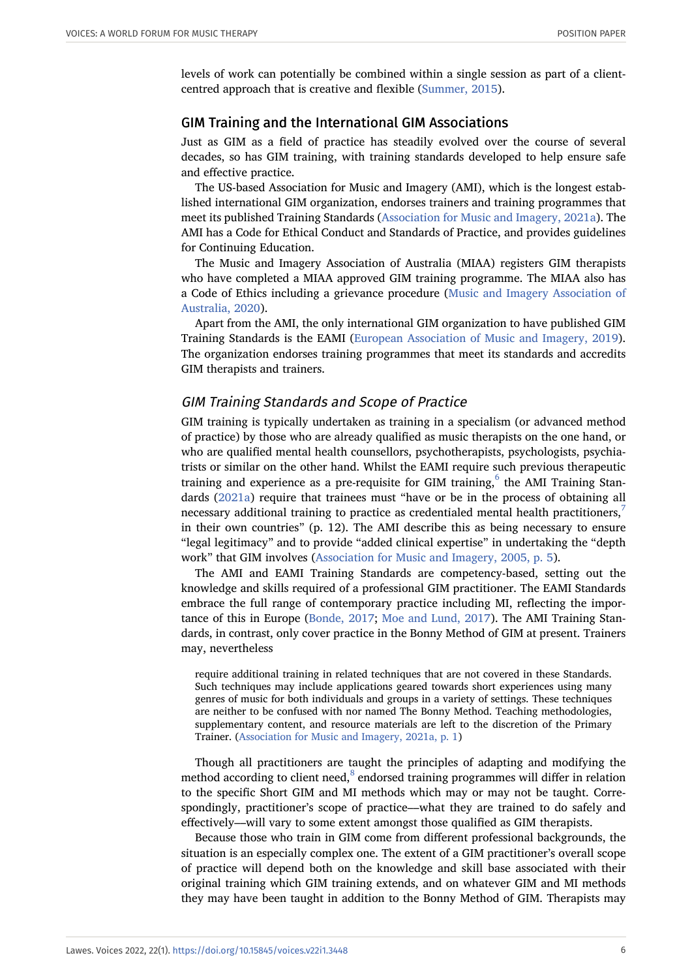levels of work can potentially be combined within a single session as part of a clientcentred approach that is creative and flexible [\(Summer, 2015](#page-24-1)).

# GIM Training and the International GIM Associations

Just as GIM as a field of practice has steadily evolved over the course of several decades, so has GIM training, with training standards developed to help ensure safe and effective practice.

The US-based Association for Music and Imagery (AMI), which is the longest established international GIM organization, endorses trainers and training programmes that meet its published Training Standards [\(Association for Music and Imagery, 2021a\)](#page-21-1). The AMI has a Code for Ethical Conduct and Standards of Practice, and provides guidelines for Continuing Education.

The Music and Imagery Association of Australia (MIAA) registers GIM therapists who have completed a MIAA approved GIM training programme. The MIAA also has a Code of Ethics including a grievance procedure ([Music and Imagery Association of](#page-23-8) [Australia, 2020](#page-23-8)).

Apart from the AMI, the only international GIM organization to have published GIM Training Standards is the EAMI ([European Association of Music and Imagery, 2019](#page-22-9)). The organization endorses training programmes that meet its standards and accredits GIM therapists and trainers.

# GIM Training Standards and Scope of Practice

GIM training is typically undertaken as training in a specialism (or advanced method of practice) by those who are already qualified as music therapists on the one hand, or who are qualified mental health counsellors, psychotherapists, psychologists, psychiatrists or similar on the other hand. Whilst the EAMI require such previous therapeutic training and experience as a pre-requisite for GIM training, $^{6}$  $^{6}$  $^{6}$  the AMI Training Standards ([2021a](#page-21-1)) require that trainees must "have or be in the process of obtaining all necessary additional training to practice as credentialed mental health practitioners,<sup>[7](#page-19-4)</sup> in their own countries" (p. 12). The AMI describe this as being necessary to ensure "legal legitimacy" and to provide "added clinical expertise" in undertaking the "depth work" that GIM involves ([Association for Music and Imagery, 2005, p. 5](#page-21-2)).

The AMI and EAMI Training Standards are competency-based, setting out the knowledge and skills required of a professional GIM practitioner. The EAMI Standards embrace the full range of contemporary practice including MI, reflecting the importance of this in Europe ([Bonde, 2017](#page-22-3); [Moe and Lund, 2017](#page-23-2)). The AMI Training Standards, in contrast, only cover practice in the Bonny Method of GIM at present. Trainers may, nevertheless

require additional training in related techniques that are not covered in these Standards. Such techniques may include applications geared towards short experiences using many genres of music for both individuals and groups in a variety of settings. These techniques are neither to be confused with nor named The Bonny Method. Teaching methodologies, supplementary content, and resource materials are left to the discretion of the Primary Trainer. ([Association for Music and Imagery, 2021a, p. 1](#page-21-1))

Though all practitioners are taught the principles of adapting and modifying the method according to client need, $^8$  $^8$  endorsed training programmes will differ in relation to the specific Short GIM and MI methods which may or may not be taught. Correspondingly, practitioner's scope of practice––what they are trained to do safely and effectively––will vary to some extent amongst those qualified as GIM therapists.

Because those who train in GIM come from different professional backgrounds, the situation is an especially complex one. The extent of a GIM practitioner's overall scope of practice will depend both on the knowledge and skill base associated with their original training which GIM training extends, and on whatever GIM and MI methods they may have been taught in addition to the Bonny Method of GIM. Therapists may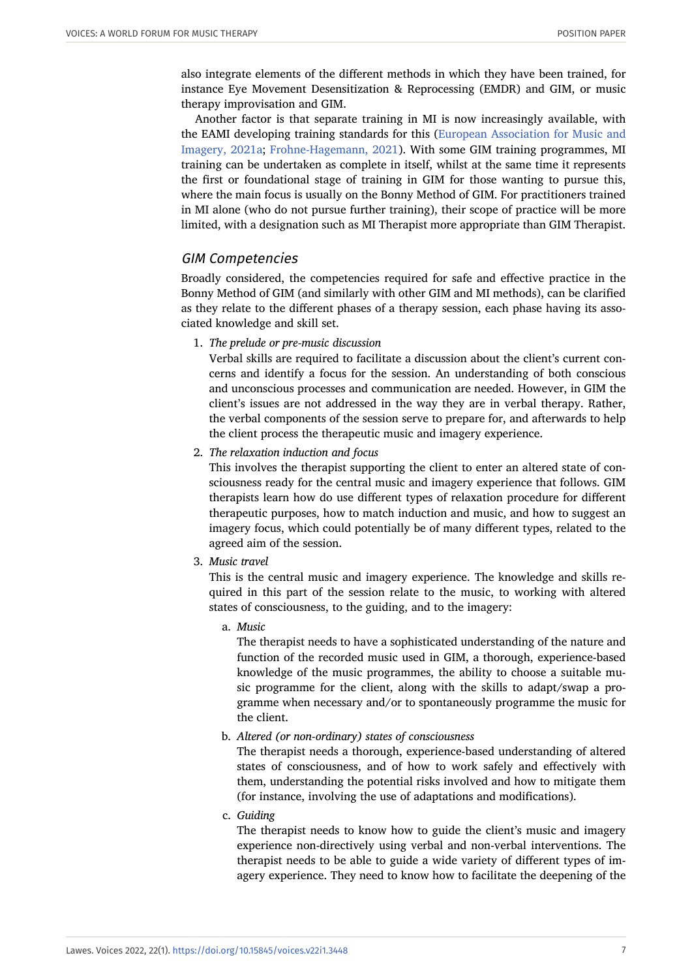also integrate elements of the different methods in which they have been trained, for instance Eye Movement Desensitization & Reprocessing (EMDR) and GIM, or music therapy improvisation and GIM.

Another factor is that separate training in MI is now increasingly available, with the EAMI developing training standards for this [\(European Association for Music and](#page-22-0) [Imagery, 2021a](#page-22-0); [Frohne-Hagemann, 2021\)](#page-22-10). With some GIM training programmes, MI training can be undertaken as complete in itself, whilst at the same time it represents the first or foundational stage of training in GIM for those wanting to pursue this, where the main focus is usually on the Bonny Method of GIM. For practitioners trained in MI alone (who do not pursue further training), their scope of practice will be more limited, with a designation such as MI Therapist more appropriate than GIM Therapist.

#### GIM Competencies

Broadly considered, the competencies required for safe and effective practice in the Bonny Method of GIM (and similarly with other GIM and MI methods), can be clarified as they relate to the different phases of a therapy session, each phase having its associated knowledge and skill set.

1. *The prelude or pre-music discussion*

Verbal skills are required to facilitate a discussion about the client's current concerns and identify a focus for the session. An understanding of both conscious and unconscious processes and communication are needed. However, in GIM the client's issues are not addressed in the way they are in verbal therapy. Rather, the verbal components of the session serve to prepare for, and afterwards to help the client process the therapeutic music and imagery experience.

2. *The relaxation induction and focus*

This involves the therapist supporting the client to enter an altered state of consciousness ready for the central music and imagery experience that follows. GIM therapists learn how do use different types of relaxation procedure for different therapeutic purposes, how to match induction and music, and how to suggest an imagery focus, which could potentially be of many different types, related to the agreed aim of the session.

3. *Music travel*

This is the central music and imagery experience. The knowledge and skills required in this part of the session relate to the music, to working with altered states of consciousness, to the guiding, and to the imagery:

a. *Music*

The therapist needs to have a sophisticated understanding of the nature and function of the recorded music used in GIM, a thorough, experience-based knowledge of the music programmes, the ability to choose a suitable music programme for the client, along with the skills to adapt/swap a programme when necessary and/or to spontaneously programme the music for the client.

b. *Altered (or non-ordinary) states of consciousness*

The therapist needs a thorough, experience-based understanding of altered states of consciousness, and of how to work safely and effectively with them, understanding the potential risks involved and how to mitigate them (for instance, involving the use of adaptations and modifications).

c. *Guiding*

The therapist needs to know how to guide the client's music and imagery experience non-directively using verbal and non-verbal interventions. The therapist needs to be able to guide a wide variety of different types of imagery experience. They need to know how to facilitate the deepening of the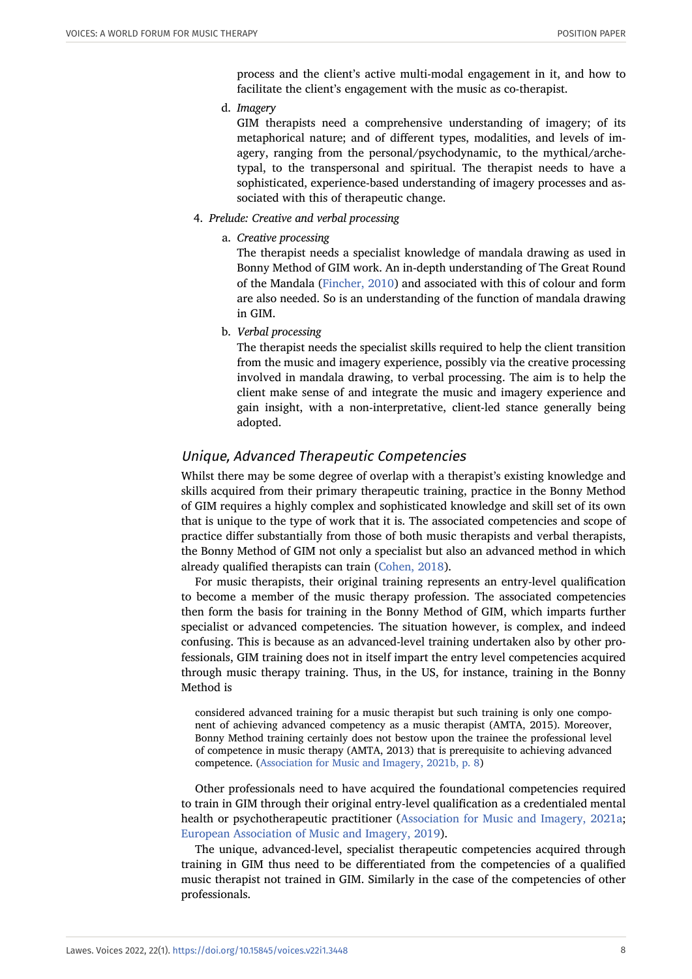process and the client's active multi-modal engagement in it, and how to facilitate the client's engagement with the music as co-therapist.

d. *Imagery*

GIM therapists need a comprehensive understanding of imagery; of its metaphorical nature; and of different types, modalities, and levels of imagery, ranging from the personal/psychodynamic, to the mythical/archetypal, to the transpersonal and spiritual. The therapist needs to have a sophisticated, experience-based understanding of imagery processes and associated with this of therapeutic change.

- 4. *Prelude: Creative and verbal processing*
	- a. *Creative processing*

The therapist needs a specialist knowledge of mandala drawing as used in Bonny Method of GIM work. An in-depth understanding of The Great Round of the Mandala ([Fincher, 2010](#page-22-11)) and associated with this of colour and form are also needed. So is an understanding of the function of mandala drawing in GIM.

b. *Verbal processing*

The therapist needs the specialist skills required to help the client transition from the music and imagery experience, possibly via the creative processing involved in mandala drawing, to verbal processing. The aim is to help the client make sense of and integrate the music and imagery experience and gain insight, with a non-interpretative, client-led stance generally being adopted.

# Unique, Advanced Therapeutic Competencies

Whilst there may be some degree of overlap with a therapist's existing knowledge and skills acquired from their primary therapeutic training, practice in the Bonny Method of GIM requires a highly complex and sophisticated knowledge and skill set of its own that is unique to the type of work that it is. The associated competencies and scope of practice differ substantially from those of both music therapists and verbal therapists, the Bonny Method of GIM not only a specialist but also an advanced method in which already qualified therapists can train ([Cohen, 2018](#page-22-12)).

For music therapists, their original training represents an entry-level qualification to become a member of the music therapy profession. The associated competencies then form the basis for training in the Bonny Method of GIM, which imparts further specialist or advanced competencies. The situation however, is complex, and indeed confusing. This is because as an advanced-level training undertaken also by other professionals, GIM training does not in itself impart the entry level competencies acquired through music therapy training. Thus, in the US, for instance, training in the Bonny Method is

considered advanced training for a music therapist but such training is only one component of achieving advanced competency as a music therapist (AMTA, 2015). Moreover, Bonny Method training certainly does not bestow upon the trainee the professional level of competence in music therapy (AMTA, 2013) that is prerequisite to achieving advanced competence. ([Association for Music and Imagery, 2021b, p. 8\)](#page-21-0)

Other professionals need to have acquired the foundational competencies required to train in GIM through their original entry-level qualification as a credentialed mental health or psychotherapeutic practitioner ([Association for Music and Imagery, 2021a;](#page-21-1) [European Association of Music and Imagery, 2019\)](#page-22-9).

The unique, advanced-level, specialist therapeutic competencies acquired through training in GIM thus need to be differentiated from the competencies of a qualified music therapist not trained in GIM. Similarly in the case of the competencies of other professionals.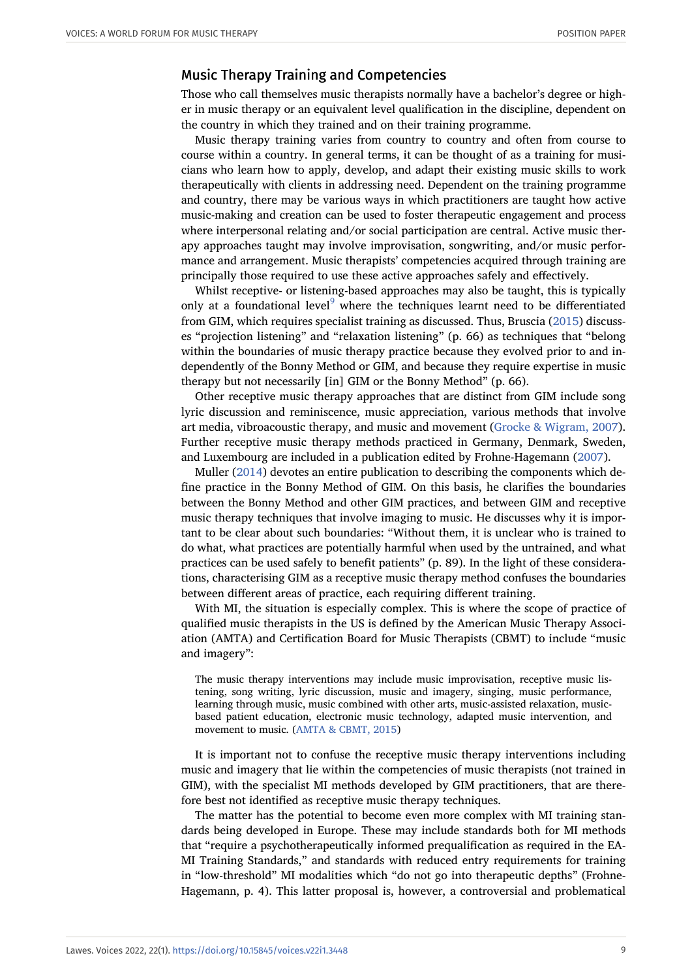# Music Therapy Training and Competencies

Those who call themselves music therapists normally have a bachelor's degree or higher in music therapy or an equivalent level qualification in the discipline, dependent on the country in which they trained and on their training programme.

Music therapy training varies from country to country and often from course to course within a country. In general terms, it can be thought of as a training for musicians who learn how to apply, develop, and adapt their existing music skills to work therapeutically with clients in addressing need. Dependent on the training programme and country, there may be various ways in which practitioners are taught how active music-making and creation can be used to foster therapeutic engagement and process where interpersonal relating and/or social participation are central. Active music therapy approaches taught may involve improvisation, songwriting, and/or music performance and arrangement. Music therapists' competencies acquired through training are principally those required to use these active approaches safely and effectively.

Whilst receptive- or listening-based approaches may also be taught, this is typically only at a foundational level<sup>[9](#page-20-1)</sup> where the techniques learnt need to be differentiated from GIM, which requires specialist training as discussed. Thus, Bruscia ([2015](#page-22-1)) discusses "projection listening" and "relaxation listening" (p. 66) as techniques that "belong within the boundaries of music therapy practice because they evolved prior to and independently of the Bonny Method or GIM, and because they require expertise in music therapy but not necessarily [in] GIM or the Bonny Method" (p. 66).

Other receptive music therapy approaches that are distinct from GIM include song lyric discussion and reminiscence, music appreciation, various methods that involve art media, vibroacoustic therapy, and music and movement [\(Grocke & Wigram, 2007](#page-23-9)). Further receptive music therapy methods practiced in Germany, Denmark, Sweden, and Luxembourg are included in a publication edited by Frohne-Hagemann ([2007](#page-22-13)).

Muller [\(2014\)](#page-23-1) devotes an entire publication to describing the components which define practice in the Bonny Method of GIM. On this basis, he clarifies the boundaries between the Bonny Method and other GIM practices, and between GIM and receptive music therapy techniques that involve imaging to music. He discusses why it is important to be clear about such boundaries: "Without them, it is unclear who is trained to do what, what practices are potentially harmful when used by the untrained, and what practices can be used safely to benefit patients" (p. 89). In the light of these considerations, characterising GIM as a receptive music therapy method confuses the boundaries between different areas of practice, each requiring different training.

With MI, the situation is especially complex. This is where the scope of practice of qualified music therapists in the US is defined by the American Music Therapy Association (AMTA) and Certification Board for Music Therapists (CBMT) to include "music and imagery":

The music therapy interventions may include music improvisation, receptive music listening, song writing, lyric discussion, music and imagery, singing, music performance, learning through music, music combined with other arts, music-assisted relaxation, musicbased patient education, electronic music technology, adapted music intervention, and movement to music. ([AMTA & CBMT, 2015\)](#page-21-3)

It is important not to confuse the receptive music therapy interventions including music and imagery that lie within the competencies of music therapists (not trained in GIM), with the specialist MI methods developed by GIM practitioners, that are therefore best not identified as receptive music therapy techniques.

The matter has the potential to become even more complex with MI training standards being developed in Europe. These may include standards both for MI methods that "require a psychotherapeutically informed prequalification as required in the EA-MI Training Standards," and standards with reduced entry requirements for training in "low-threshold" MI modalities which "do not go into therapeutic depths" (Frohne-Hagemann, p. 4). This latter proposal is, however, a controversial and problematical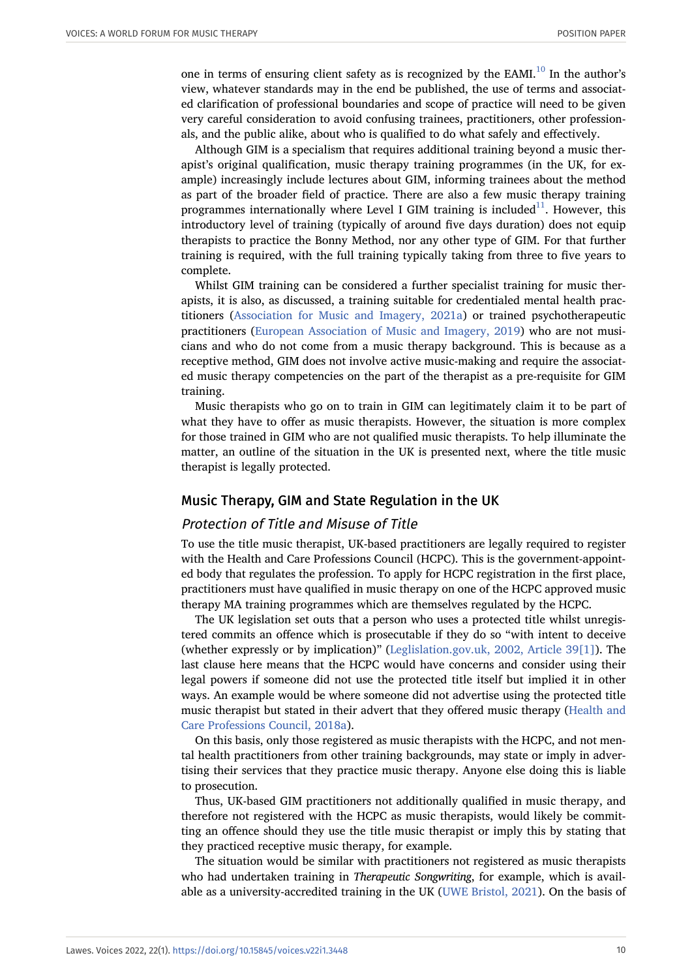one in terms of ensuring client safety as is recognized by the EAMI. $^{10}$  $^{10}$  $^{10}$  In the author's view, whatever standards may in the end be published, the use of terms and associated clarification of professional boundaries and scope of practice will need to be given very careful consideration to avoid confusing trainees, practitioners, other professionals, and the public alike, about who is qualified to do what safely and effectively.

Although GIM is a specialism that requires additional training beyond a music therapist's original qualification, music therapy training programmes (in the UK, for example) increasingly include lectures about GIM, informing trainees about the method as part of the broader field of practice. There are also a few music therapy training programmes internationally where Level I GIM training is included<sup>[11](#page-21-5)</sup>. However, this introductory level of training (typically of around five days duration) does not equip therapists to practice the Bonny Method, nor any other type of GIM. For that further training is required, with the full training typically taking from three to five years to complete.

Whilst GIM training can be considered a further specialist training for music therapists, it is also, as discussed, a training suitable for credentialed mental health practitioners [\(Association for Music and Imagery, 2021a](#page-21-1)) or trained psychotherapeutic practitioners [\(European Association of Music and Imagery, 2019\)](#page-22-9) who are not musicians and who do not come from a music therapy background. This is because as a receptive method, GIM does not involve active music-making and require the associated music therapy competencies on the part of the therapist as a pre-requisite for GIM training.

Music therapists who go on to train in GIM can legitimately claim it to be part of what they have to offer as music therapists. However, the situation is more complex for those trained in GIM who are not qualified music therapists. To help illuminate the matter, an outline of the situation in the UK is presented next, where the title music therapist is legally protected.

#### Music Therapy, GIM and State Regulation in the UK

#### Protection of Title and Misuse of Title

To use the title music therapist, UK-based practitioners are legally required to register with the Health and Care Professions Council (HCPC). This is the government-appointed body that regulates the profession. To apply for HCPC registration in the first place, practitioners must have qualified in music therapy on one of the HCPC approved music therapy MA training programmes which are themselves regulated by the HCPC.

The UK legislation set outs that a person who uses a protected title whilst unregistered commits an offence which is prosecutable if they do so "with intent to deceive (whether expressly or by implication)" ([Leglislation.gov.uk, 2002, Article 39\[1\]](#page-23-10)). The last clause here means that the HCPC would have concerns and consider using their legal powers if someone did not use the protected title itself but implied it in other ways. An example would be where someone did not advertise using the protected title music therapist but stated in their advert that they offered music therapy [\(Health and](#page-24-3) [Care Professions Council, 2018a](#page-24-3)).

On this basis, only those registered as music therapists with the HCPC, and not mental health practitioners from other training backgrounds, may state or imply in advertising their services that they practice music therapy. Anyone else doing this is liable to prosecution.

Thus, UK-based GIM practitioners not additionally qualified in music therapy, and therefore not registered with the HCPC as music therapists, would likely be committing an offence should they use the title music therapist or imply this by stating that they practiced receptive music therapy, for example.

The situation would be similar with practitioners not registered as music therapists who had undertaken training in *Therapeutic Songwriting*, for example, which is available as a university-accredited training in the UK ([UWE Bristol, 2021\)](#page-24-4). On the basis of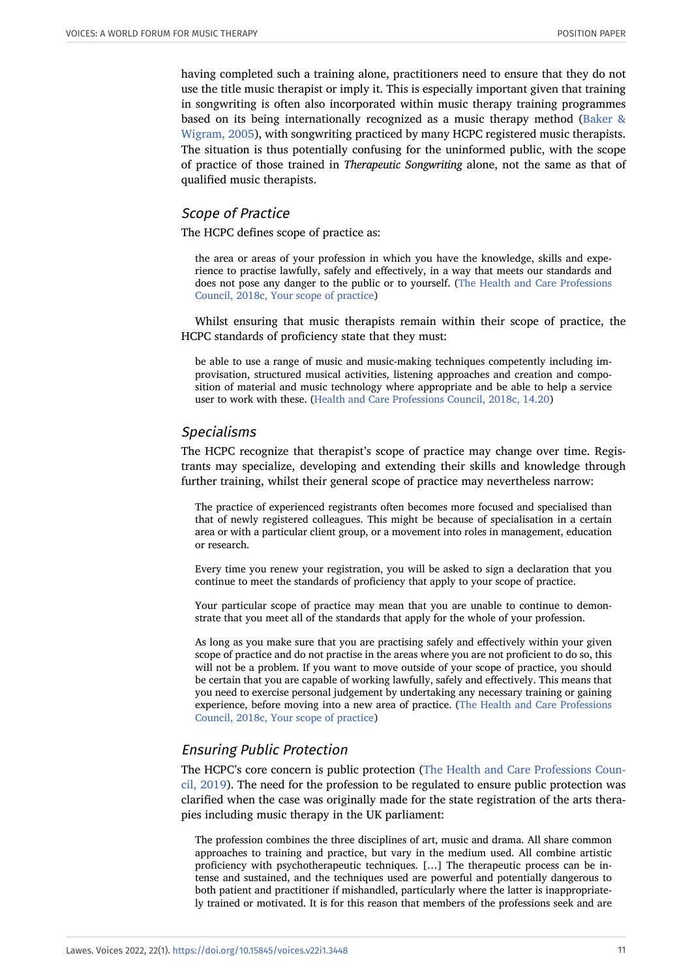having completed such a training alone, practitioners need to ensure that they do not use the title music therapist or imply it. This is especially important given that training in songwriting is often also incorporated within music therapy training programmes based on its being internationally recognized as a music therapy method ([Baker &](#page-22-14) [Wigram, 2005\)](#page-22-14), with songwriting practiced by many HCPC registered music therapists. The situation is thus potentially confusing for the uninformed public, with the scope of practice of those trained in *Therapeutic Songwriting* alone, not the same as that of qualified music therapists.

#### Scope of Practice

The HCPC defines scope of practice as:

the area or areas of your profession in which you have the knowledge, skills and experience to practise lawfully, safely and effectively, in a way that meets our standards and does not pose any danger to the public or to yourself. [\(The Health and Care Professions](#page-24-5) [Council, 2018c, Your scope of practice\)](#page-24-5)

Whilst ensuring that music therapists remain within their scope of practice, the HCPC standards of proficiency state that they must:

be able to use a range of music and music-making techniques competently including improvisation, structured musical activities, listening approaches and creation and composition of material and music technology where appropriate and be able to help a service user to work with these. [\(Health and Care Professions Council, 2018c, 14.20\)](#page-24-5)

# Specialisms

The HCPC recognize that therapist's scope of practice may change over time. Registrants may specialize, developing and extending their skills and knowledge through further training, whilst their general scope of practice may nevertheless narrow:

The practice of experienced registrants often becomes more focused and specialised than that of newly registered colleagues. This might be because of specialisation in a certain area or with a particular client group, or a movement into roles in management, education or research.

Every time you renew your registration, you will be asked to sign a declaration that you continue to meet the standards of proficiency that apply to your scope of practice.

Your particular scope of practice may mean that you are unable to continue to demonstrate that you meet all of the standards that apply for the whole of your profession.

As long as you make sure that you are practising safely and effectively within your given scope of practice and do not practise in the areas where you are not proficient to do so, this will not be a problem. If you want to move outside of your scope of practice, you should be certain that you are capable of working lawfully, safely and effectively. This means that you need to exercise personal judgement by undertaking any necessary training or gaining experience, before moving into a new area of practice. [\(The Health and Care Professions](#page-24-5) [Council, 2018c, Your scope of practice\)](#page-24-5)

#### Ensuring Public Protection

The HCPC's core concern is public protection [\(The Health and Care Professions Coun](#page-24-6)[cil, 2019\)](#page-24-6). The need for the profession to be regulated to ensure public protection was clarified when the case was originally made for the state registration of the arts therapies including music therapy in the UK parliament:

The profession combines the three disciplines of art, music and drama. All share common approaches to training and practice, but vary in the medium used. All combine artistic proficiency with psychotherapeutic techniques. […] The therapeutic process can be intense and sustained, and the techniques used are powerful and potentially dangerous to both patient and practitioner if mishandled, particularly where the latter is inappropriately trained or motivated. It is for this reason that members of the professions seek and are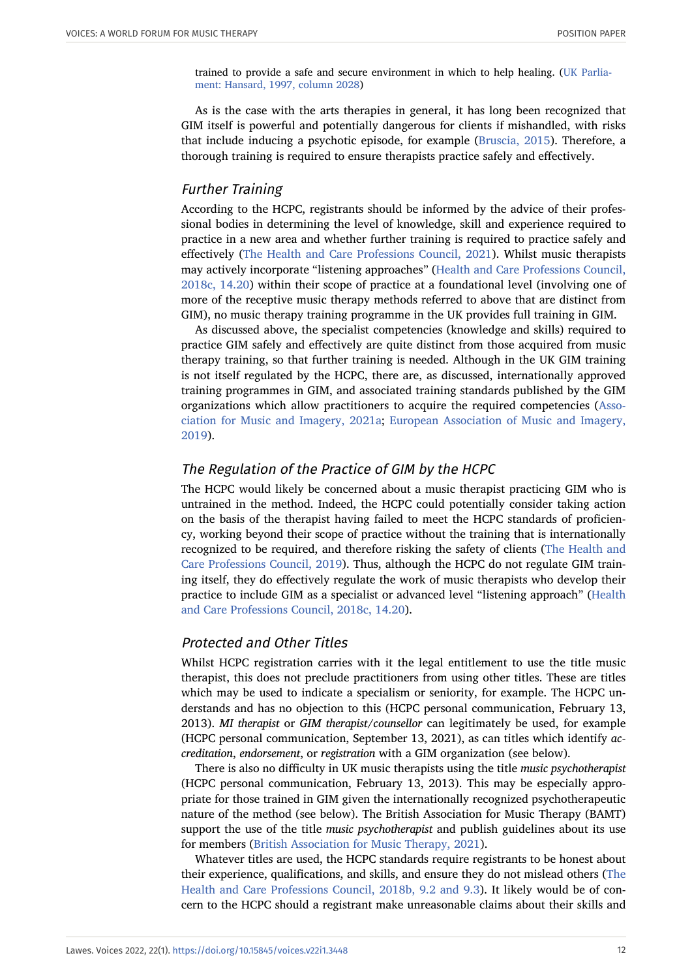trained to provide a safe and secure environment in which to help healing. ([UK Parlia](#page-24-7)[ment: Hansard, 1997, column 2028\)](#page-24-7)

As is the case with the arts therapies in general, it has long been recognized that GIM itself is powerful and potentially dangerous for clients if mishandled, with risks that include inducing a psychotic episode, for example ([Bruscia, 2015\)](#page-22-1). Therefore, a thorough training is required to ensure therapists practice safely and effectively.

## Further Training

According to the HCPC, registrants should be informed by the advice of their professional bodies in determining the level of knowledge, skill and experience required to practice in a new area and whether further training is required to practice safely and effectively [\(The Health and Care Professions Council, 2021](#page-24-8)). Whilst music therapists may actively incorporate "listening approaches" [\(Health and Care Professions Council,](#page-24-5) [2018c, 14.20\)](#page-24-5) within their scope of practice at a foundational level (involving one of more of the receptive music therapy methods referred to above that are distinct from GIM), no music therapy training programme in the UK provides full training in GIM.

As discussed above, the specialist competencies (knowledge and skills) required to practice GIM safely and effectively are quite distinct from those acquired from music therapy training, so that further training is needed. Although in the UK GIM training is not itself regulated by the HCPC, there are, as discussed, internationally approved training programmes in GIM, and associated training standards published by the GIM organizations which allow practitioners to acquire the required competencies [\(Asso](#page-21-1)[ciation for Music and Imagery, 2021a](#page-21-1); [European Association of Music and Imagery,](#page-22-9) [2019](#page-22-9)).

#### The Regulation of the Practice of GIM by the HCPC

The HCPC would likely be concerned about a music therapist practicing GIM who is untrained in the method. Indeed, the HCPC could potentially consider taking action on the basis of the therapist having failed to meet the HCPC standards of proficiency, working beyond their scope of practice without the training that is internationally recognized to be required, and therefore risking the safety of clients [\(The Health and](#page-24-6) [Care Professions Council, 2019](#page-24-6)). Thus, although the HCPC do not regulate GIM training itself, they do effectively regulate the work of music therapists who develop their practice to include GIM as a specialist or advanced level "listening approach" [\(Health](#page-24-5) [and Care Professions Council, 2018c, 14.20](#page-24-5)).

#### Protected and Other Titles

Whilst HCPC registration carries with it the legal entitlement to use the title music therapist, this does not preclude practitioners from using other titles. These are titles which may be used to indicate a specialism or seniority, for example. The HCPC understands and has no objection to this (HCPC personal communication, February 13, 2013). *MI therapist* or *GIM therapist/counsellor* can legitimately be used, for example (HCPC personal communication, September 13, 2021), as can titles which identify *accreditation*, *endorsement*, or *registration* with a GIM organization (see below).

There is also no difficulty in UK music therapists using the title *music psychotherapist* (HCPC personal communication, February 13, 2013). This may be especially appropriate for those trained in GIM given the internationally recognized psychotherapeutic nature of the method (see below). The British Association for Music Therapy (BAMT) support the use of the title *music psychotherapist* and publish guidelines about its use for members [\(British Association for Music Therapy, 2021](#page-22-15)).

Whatever titles are used, the HCPC standards require registrants to be honest about their experience, qualifications, and skills, and ensure they do not mislead others ([The](#page-24-9) [Health and Care Professions Council, 2018b, 9.2 and 9.3\)](#page-24-9). It likely would be of concern to the HCPC should a registrant make unreasonable claims about their skills and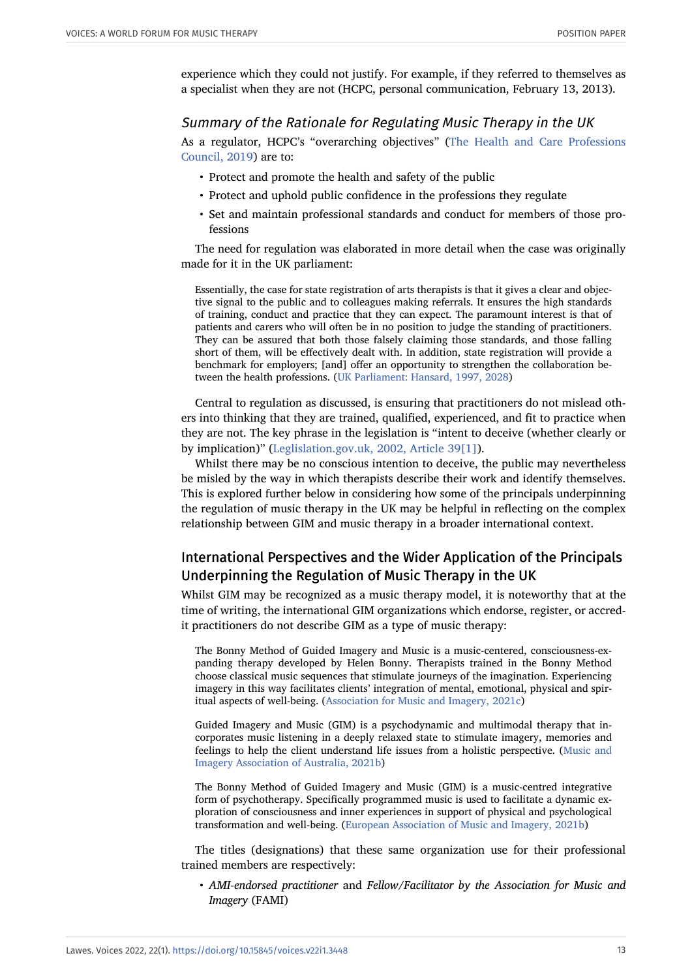experience which they could not justify. For example, if they referred to themselves as a specialist when they are not (HCPC, personal communication, February 13, 2013).

#### Summary of the Rationale for Regulating Music Therapy in the UK

As a regulator, HCPC's "overarching objectives" ([The Health and Care Professions](#page-24-6) [Council, 2019\)](#page-24-6) are to:

- Protect and promote the health and safety of the public
- Protect and uphold public confidence in the professions they regulate
- Set and maintain professional standards and conduct for members of those professions

The need for regulation was elaborated in more detail when the case was originally made for it in the UK parliament:

Essentially, the case for state registration of arts therapists is that it gives a clear and objective signal to the public and to colleagues making referrals. It ensures the high standards of training, conduct and practice that they can expect. The paramount interest is that of patients and carers who will often be in no position to judge the standing of practitioners. They can be assured that both those falsely claiming those standards, and those falling short of them, will be effectively dealt with. In addition, state registration will provide a benchmark for employers; [and] offer an opportunity to strengthen the collaboration between the health professions. [\(UK Parliament: Hansard, 1997, 2028\)](#page-24-7)

Central to regulation as discussed, is ensuring that practitioners do not mislead others into thinking that they are trained, qualified, experienced, and fit to practice when they are not. The key phrase in the legislation is "intent to deceive (whether clearly or by implication)" [\(Leglislation.gov.uk, 2002, Article 39\[1\]\)](#page-23-10).

Whilst there may be no conscious intention to deceive, the public may nevertheless be misled by the way in which therapists describe their work and identify themselves. This is explored further below in considering how some of the principals underpinning the regulation of music therapy in the UK may be helpful in reflecting on the complex relationship between GIM and music therapy in a broader international context.

# International Perspectives and the Wider Application of the Principals Underpinning the Regulation of Music Therapy in the UK

Whilst GIM may be recognized as a music therapy model, it is noteworthy that at the time of writing, the international GIM organizations which endorse, register, or accredit practitioners do not describe GIM as a type of music therapy:

The Bonny Method of Guided Imagery and Music is a music-centered, consciousness-expanding therapy developed by Helen Bonny. Therapists trained in the Bonny Method choose classical music sequences that stimulate journeys of the imagination. Experiencing imagery in this way facilitates clients' integration of mental, emotional, physical and spiritual aspects of well-being. [\(Association for Music and Imagery, 2021c](#page-21-6))

Guided Imagery and Music (GIM) is a psychodynamic and multimodal therapy that incorporates music listening in a deeply relaxed state to stimulate imagery, memories and feelings to help the client understand life issues from a holistic perspective. ([Music and](#page-23-11) [Imagery Association of Australia, 2021b](#page-23-11))

The Bonny Method of Guided Imagery and Music (GIM) is a music-centred integrative form of psychotherapy. Specifically programmed music is used to facilitate a dynamic exploration of consciousness and inner experiences in support of physical and psychological transformation and well-being. [\(European Association of Music and Imagery, 2021b\)](#page-22-16)

The titles (designations) that these same organization use for their professional trained members are respectively:

• *AMI-endorsed practitioner* and *Fellow/Facilitator by the Association for Music and Imagery* (FAMI)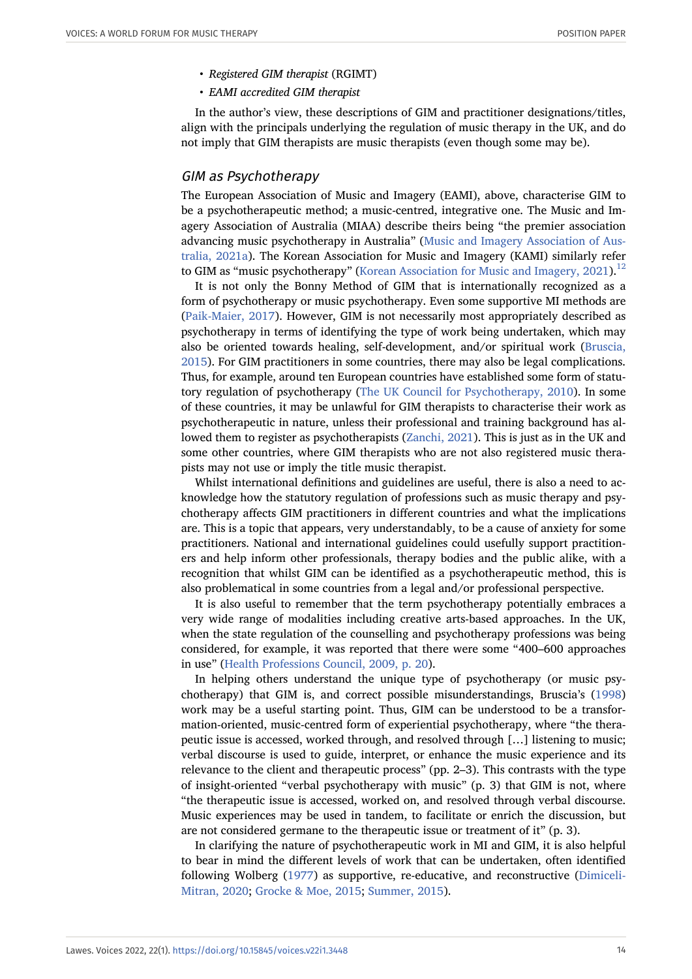- *Registered GIM therapist* (RGIMT)
- *EAMI accredited GIM therapist*

In the author's view, these descriptions of GIM and practitioner designations/titles, align with the principals underlying the regulation of music therapy in the UK, and do not imply that GIM therapists are music therapists (even though some may be).

#### GIM as Psychotherapy

The European Association of Music and Imagery (EAMI), above, characterise GIM to be a psychotherapeutic method; a music-centred, integrative one. The Music and Imagery Association of Australia (MIAA) describe theirs being "the premier association advancing music psychotherapy in Australia" ([Music and Imagery Association of Aus](#page-23-12)[tralia, 2021a](#page-23-12)). The Korean Association for Music and Imagery (KAMI) similarly refer to GIM as "music psychotherapy" ([Korean Association for Music and Imagery, 2021](#page-23-13)).<sup>[12](#page-21-7)</sup>

It is not only the Bonny Method of GIM that is internationally recognized as a form of psychotherapy or music psychotherapy. Even some supportive MI methods are ([Paik-Maier, 2017\)](#page-23-7). However, GIM is not necessarily most appropriately described as psychotherapy in terms of identifying the type of work being undertaken, which may also be oriented towards healing, self-development, and/or spiritual work [\(Bruscia,](#page-22-1) [2015](#page-22-1)). For GIM practitioners in some countries, there may also be legal complications. Thus, for example, around ten European countries have established some form of statutory regulation of psychotherapy ([The UK Council for Psychotherapy, 2010](#page-24-10)). In some of these countries, it may be unlawful for GIM therapists to characterise their work as psychotherapeutic in nature, unless their professional and training background has allowed them to register as psychotherapists ([Zanchi, 2021\)](#page-24-11). This is just as in the UK and some other countries, where GIM therapists who are not also registered music therapists may not use or imply the title music therapist.

Whilst international definitions and guidelines are useful, there is also a need to acknowledge how the statutory regulation of professions such as music therapy and psychotherapy affects GIM practitioners in different countries and what the implications are. This is a topic that appears, very understandably, to be a cause of anxiety for some practitioners. National and international guidelines could usefully support practitioners and help inform other professionals, therapy bodies and the public alike, with a recognition that whilst GIM can be identified as a psychotherapeutic method, this is also problematical in some countries from a legal and/or professional perspective.

It is also useful to remember that the term psychotherapy potentially embraces a very wide range of modalities including creative arts-based approaches. In the UK, when the state regulation of the counselling and psychotherapy professions was being considered, for example, it was reported that there were some "400–600 approaches in use" [\(Health Professions Council, 2009, p. 20](#page-24-12)).

In helping others understand the unique type of psychotherapy (or music psychotherapy) that GIM is, and correct possible misunderstandings, Bruscia's [\(1998\)](#page-22-17) work may be a useful starting point. Thus, GIM can be understood to be a transformation-oriented, music-centred form of experiential psychotherapy, where "the therapeutic issue is accessed, worked through, and resolved through […] listening to music; verbal discourse is used to guide, interpret, or enhance the music experience and its relevance to the client and therapeutic process" (pp. 2–3). This contrasts with the type of insight-oriented "verbal psychotherapy with music" (p. 3) that GIM is not, where "the therapeutic issue is accessed, worked on, and resolved through verbal discourse. Music experiences may be used in tandem, to facilitate or enrich the discussion, but are not considered germane to the therapeutic issue or treatment of it" (p. 3).

In clarifying the nature of psychotherapeutic work in MI and GIM, it is also helpful to bear in mind the different levels of work that can be undertaken, often identified following Wolberg [\(1977\)](#page-24-13) as supportive, re-educative, and reconstructive [\(Dimiceli-](#page-22-8)[Mitran, 2020](#page-22-8); [Grocke & Moe, 2015](#page-23-0); [Summer, 2015\)](#page-24-1).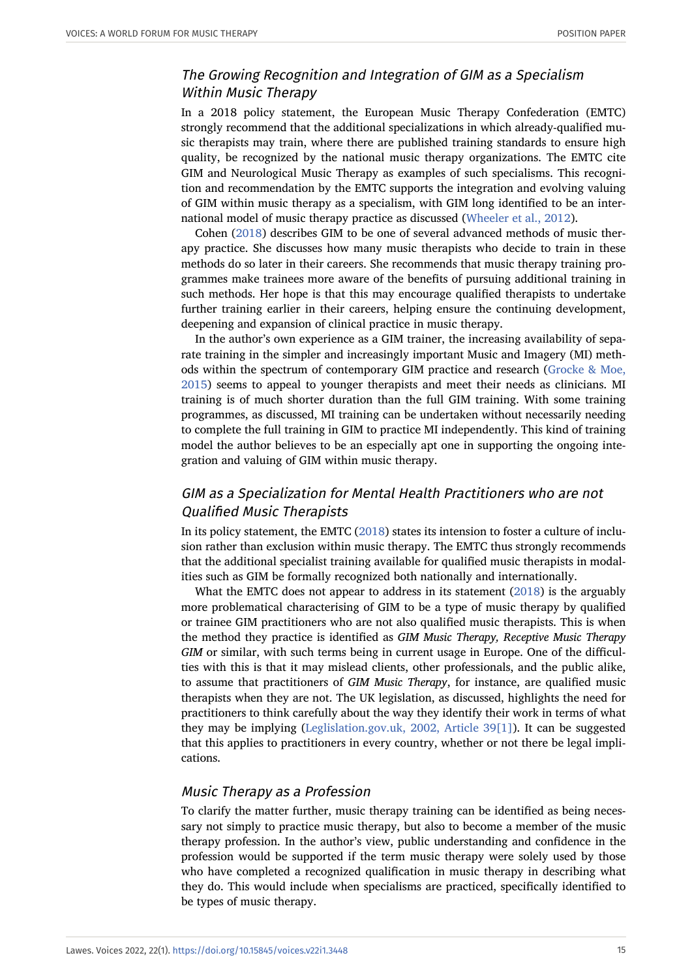# The Growing Recognition and Integration of GIM as a Specialism Within Music Therapy

In a 2018 policy statement, the European Music Therapy Confederation (EMTC) strongly recommend that the additional specializations in which already-qualified music therapists may train, where there are published training standards to ensure high quality, be recognized by the national music therapy organizations. The EMTC cite GIM and Neurological Music Therapy as examples of such specialisms. This recognition and recommendation by the EMTC supports the integration and evolving valuing of GIM within music therapy as a specialism, with GIM long identified to be an international model of music therapy practice as discussed [\(Wheeler et al., 2012](#page-24-0)).

Cohen ([2018](#page-22-12)) describes GIM to be one of several advanced methods of music therapy practice. She discusses how many music therapists who decide to train in these methods do so later in their careers. She recommends that music therapy training programmes make trainees more aware of the benefits of pursuing additional training in such methods. Her hope is that this may encourage qualified therapists to undertake further training earlier in their careers, helping ensure the continuing development, deepening and expansion of clinical practice in music therapy.

In the author's own experience as a GIM trainer, the increasing availability of separate training in the simpler and increasingly important Music and Imagery (MI) methods within the spectrum of contemporary GIM practice and research [\(Grocke & Moe,](#page-23-0) [2015](#page-23-0)) seems to appeal to younger therapists and meet their needs as clinicians. MI training is of much shorter duration than the full GIM training. With some training programmes, as discussed, MI training can be undertaken without necessarily needing to complete the full training in GIM to practice MI independently. This kind of training model the author believes to be an especially apt one in supporting the ongoing integration and valuing of GIM within music therapy.

# GIM as a Specialization for Mental Health Practitioners who are not Qualified Music Therapists

In its policy statement, the EMTC ([2018](#page-22-2)) states its intension to foster a culture of inclusion rather than exclusion within music therapy. The EMTC thus strongly recommends that the additional specialist training available for qualified music therapists in modalities such as GIM be formally recognized both nationally and internationally.

What the EMTC does not appear to address in its statement [\(2018\)](#page-22-2) is the arguably more problematical characterising of GIM to be a type of music therapy by qualified or trainee GIM practitioners who are not also qualified music therapists. This is when the method they practice is identified as *GIM Music Therapy, Receptive Music Therapy GIM* or similar, with such terms being in current usage in Europe. One of the difficulties with this is that it may mislead clients, other professionals, and the public alike, to assume that practitioners of *GIM Music Therapy*, for instance, are qualified music therapists when they are not. The UK legislation, as discussed, highlights the need for practitioners to think carefully about the way they identify their work in terms of what they may be implying ([Leglislation.gov.uk, 2002, Article 39\[1\]](#page-23-10)). It can be suggested that this applies to practitioners in every country, whether or not there be legal implications.

#### Music Therapy as a Profession

To clarify the matter further, music therapy training can be identified as being necessary not simply to practice music therapy, but also to become a member of the music therapy profession. In the author's view, public understanding and confidence in the profession would be supported if the term music therapy were solely used by those who have completed a recognized qualification in music therapy in describing what they do. This would include when specialisms are practiced, specifically identified to be types of music therapy.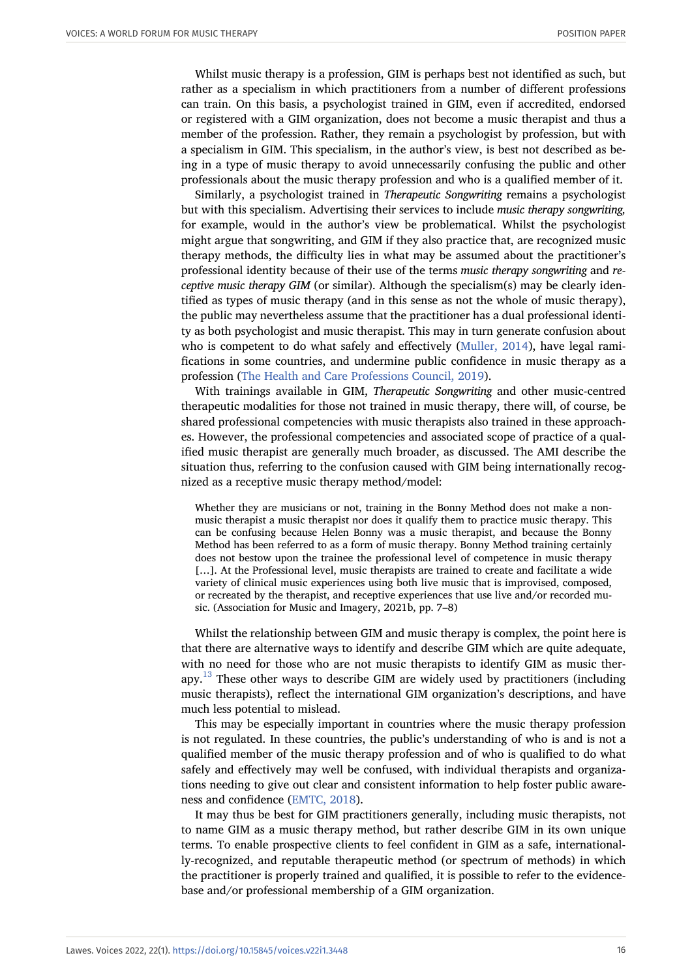Whilst music therapy is a profession, GIM is perhaps best not identified as such, but rather as a specialism in which practitioners from a number of different professions can train. On this basis, a psychologist trained in GIM, even if accredited, endorsed or registered with a GIM organization, does not become a music therapist and thus a member of the profession. Rather, they remain a psychologist by profession, but with a specialism in GIM. This specialism, in the author's view, is best not described as being in a type of music therapy to avoid unnecessarily confusing the public and other professionals about the music therapy profession and who is a qualified member of it.

Similarly, a psychologist trained in *Therapeutic Songwriting* remains a psychologist but with this specialism. Advertising their services to include *music therapy songwriting,* for example, would in the author's view be problematical. Whilst the psychologist might argue that songwriting, and GIM if they also practice that, are recognized music therapy methods, the difficulty lies in what may be assumed about the practitioner's professional identity because of their use of the terms *music therapy songwriting* and *receptive music therapy GIM* (or similar). Although the specialism(s) may be clearly identified as types of music therapy (and in this sense as not the whole of music therapy), the public may nevertheless assume that the practitioner has a dual professional identity as both psychologist and music therapist. This may in turn generate confusion about who is competent to do what safely and effectively [\(Muller, 2014\)](#page-23-1), have legal ramifications in some countries, and undermine public confidence in music therapy as a profession ([The Health and Care Professions Council, 2019\)](#page-24-6).

With trainings available in GIM, *Therapeutic Songwriting* and other music-centred therapeutic modalities for those not trained in music therapy, there will, of course, be shared professional competencies with music therapists also trained in these approaches. However, the professional competencies and associated scope of practice of a qualified music therapist are generally much broader, as discussed. The AMI describe the situation thus, referring to the confusion caused with GIM being internationally recognized as a receptive music therapy method/model:

Whether they are musicians or not, training in the Bonny Method does not make a nonmusic therapist a music therapist nor does it qualify them to practice music therapy. This can be confusing because Helen Bonny was a music therapist, and because the Bonny Method has been referred to as a form of music therapy. Bonny Method training certainly does not bestow upon the trainee the professional level of competence in music therapy [...]. At the Professional level, music therapists are trained to create and facilitate a wide variety of clinical music experiences using both live music that is improvised, composed, or recreated by the therapist, and receptive experiences that use live and/or recorded music. (Association for Music and Imagery, 2021b, pp. 7–8)

Whilst the relationship between GIM and music therapy is complex, the point here is that there are alternative ways to identify and describe GIM which are quite adequate, with no need for those who are not music therapists to identify GIM as music therapy. $^{13}$  $^{13}$  $^{13}$  These other ways to describe GIM are widely used by practitioners (including music therapists), reflect the international GIM organization's descriptions, and have much less potential to mislead.

This may be especially important in countries where the music therapy profession is not regulated. In these countries, the public's understanding of who is and is not a qualified member of the music therapy profession and of who is qualified to do what safely and effectively may well be confused, with individual therapists and organizations needing to give out clear and consistent information to help foster public awareness and confidence [\(EMTC, 2018](#page-22-2)).

It may thus be best for GIM practitioners generally, including music therapists, not to name GIM as a music therapy method, but rather describe GIM in its own unique terms. To enable prospective clients to feel confident in GIM as a safe, internationally-recognized, and reputable therapeutic method (or spectrum of methods) in which the practitioner is properly trained and qualified, it is possible to refer to the evidencebase and/or professional membership of a GIM organization.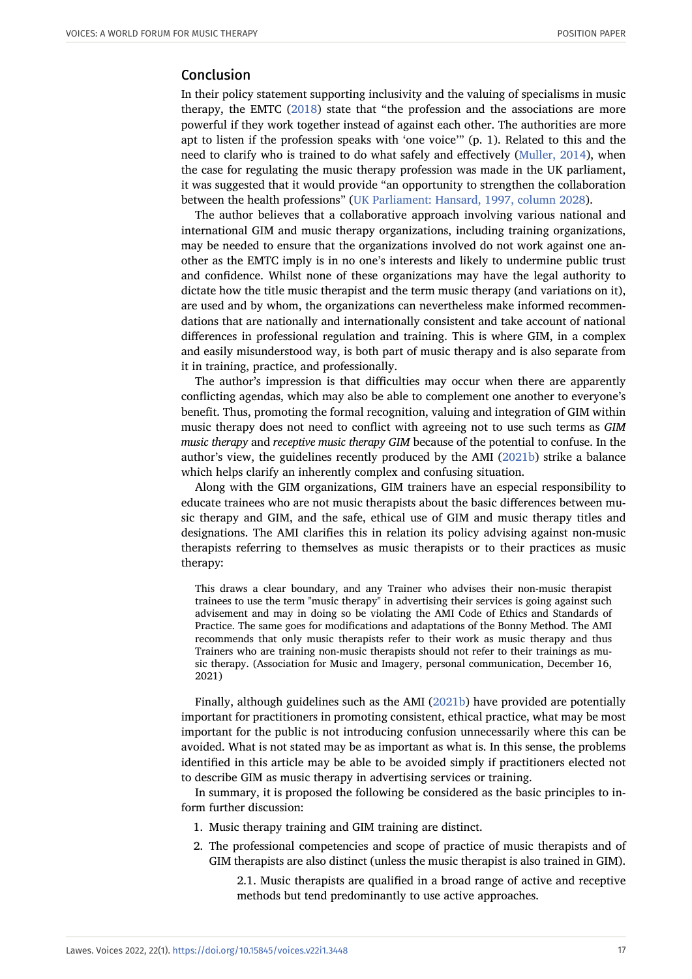## Conclusion

In their policy statement supporting inclusivity and the valuing of specialisms in music therapy, the EMTC ([2018](#page-22-2)) state that "the profession and the associations are more powerful if they work together instead of against each other. The authorities are more apt to listen if the profession speaks with 'one voice'" (p. 1). Related to this and the need to clarify who is trained to do what safely and effectively [\(Muller, 2014](#page-23-1)), when the case for regulating the music therapy profession was made in the UK parliament, it was suggested that it would provide "an opportunity to strengthen the collaboration between the health professions" [\(UK Parliament: Hansard, 1997, column 2028\)](#page-24-7).

The author believes that a collaborative approach involving various national and international GIM and music therapy organizations, including training organizations, may be needed to ensure that the organizations involved do not work against one another as the EMTC imply is in no one's interests and likely to undermine public trust and confidence. Whilst none of these organizations may have the legal authority to dictate how the title music therapist and the term music therapy (and variations on it), are used and by whom, the organizations can nevertheless make informed recommendations that are nationally and internationally consistent and take account of national differences in professional regulation and training. This is where GIM, in a complex and easily misunderstood way, is both part of music therapy and is also separate from it in training, practice, and professionally.

The author's impression is that difficulties may occur when there are apparently conflicting agendas, which may also be able to complement one another to everyone's benefit. Thus, promoting the formal recognition, valuing and integration of GIM within music therapy does not need to conflict with agreeing not to use such terms as *GIM music therapy* and *receptive music therapy GIM* because of the potential to confuse. In the author's view, the guidelines recently produced by the AMI [\(2021b](#page-21-0)) strike a balance which helps clarify an inherently complex and confusing situation.

Along with the GIM organizations, GIM trainers have an especial responsibility to educate trainees who are not music therapists about the basic differences between music therapy and GIM, and the safe, ethical use of GIM and music therapy titles and designations. The AMI clarifies this in relation its policy advising against non-music therapists referring to themselves as music therapists or to their practices as music therapy:

This draws a clear boundary, and any Trainer who advises their non-music therapist trainees to use the term "music therapy" in advertising their services is going against such advisement and may in doing so be violating the AMI Code of Ethics and Standards of Practice. The same goes for modifications and adaptations of the Bonny Method. The AMI recommends that only music therapists refer to their work as music therapy and thus Trainers who are training non-music therapists should not refer to their trainings as music therapy. (Association for Music and Imagery, personal communication, December 16, 2021)

Finally, although guidelines such as the AMI [\(2021b\)](#page-21-0) have provided are potentially important for practitioners in promoting consistent, ethical practice, what may be most important for the public is not introducing confusion unnecessarily where this can be avoided. What is not stated may be as important as what is. In this sense, the problems identified in this article may be able to be avoided simply if practitioners elected not to describe GIM as music therapy in advertising services or training.

In summary, it is proposed the following be considered as the basic principles to inform further discussion:

- 1. Music therapy training and GIM training are distinct.
- 2. The professional competencies and scope of practice of music therapists and of GIM therapists are also distinct (unless the music therapist is also trained in GIM).

2.1. Music therapists are qualified in a broad range of active and receptive methods but tend predominantly to use active approaches.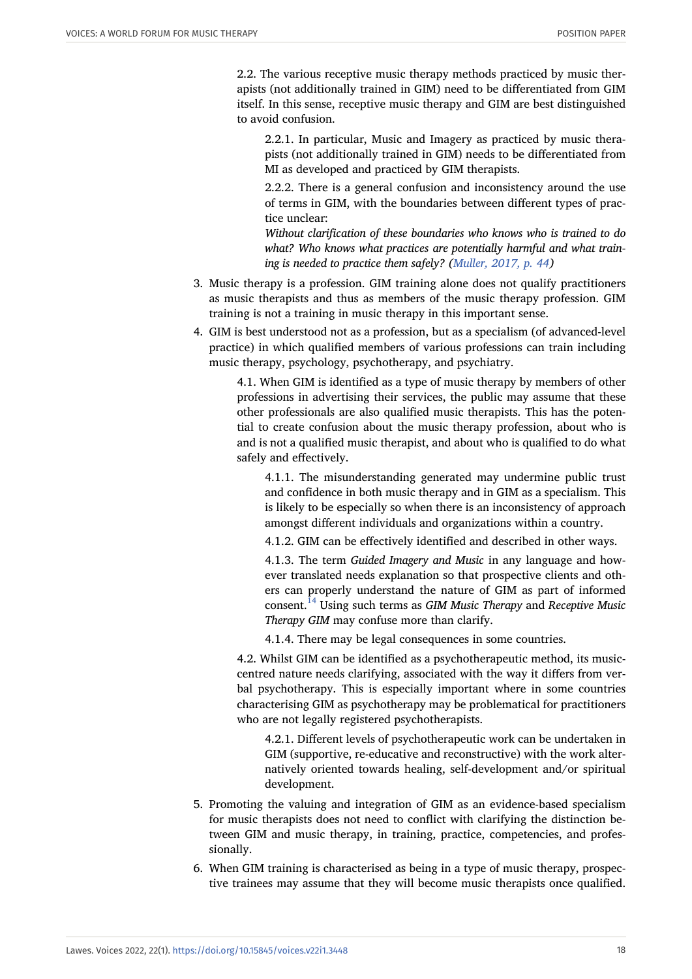2.2. The various receptive music therapy methods practiced by music therapists (not additionally trained in GIM) need to be differentiated from GIM itself. In this sense, receptive music therapy and GIM are best distinguished to avoid confusion.

2.2.1. In particular, Music and Imagery as practiced by music therapists (not additionally trained in GIM) needs to be differentiated from MI as developed and practiced by GIM therapists.

2.2.2. There is a general confusion and inconsistency around the use of terms in GIM, with the boundaries between different types of practice unclear:

*Without clarification of these boundaries who knows who is trained to do what? Who knows what practices are potentially harmful and what training is needed to practice them safely? [\(Muller, 2017, p. 44\)](#page-23-14)*

- 3. Music therapy is a profession. GIM training alone does not qualify practitioners as music therapists and thus as members of the music therapy profession. GIM training is not a training in music therapy in this important sense.
- 4. GIM is best understood not as a profession, but as a specialism (of advanced-level practice) in which qualified members of various professions can train including music therapy, psychology, psychotherapy, and psychiatry.

4.1. When GIM is identified as a type of music therapy by members of other professions in advertising their services, the public may assume that these other professionals are also qualified music therapists. This has the potential to create confusion about the music therapy profession, about who is and is not a qualified music therapist, and about who is qualified to do what safely and effectively.

4.1.1. The misunderstanding generated may undermine public trust and confidence in both music therapy and in GIM as a specialism. This is likely to be especially so when there is an inconsistency of approach amongst different individuals and organizations within a country.

4.1.2. GIM can be effectively identified and described in other ways.

4.1.3. The term *Guided Imagery and Music* in any language and however translated needs explanation so that prospective clients and others can properly understand the nature of GIM as part of informed consent.[14](#page-21-9) Using such terms as *GIM Music Therapy* and *Receptive Music Therapy GIM* may confuse more than clarify.

4.1.4. There may be legal consequences in some countries.

4.2. Whilst GIM can be identified as a psychotherapeutic method, its musiccentred nature needs clarifying, associated with the way it differs from verbal psychotherapy. This is especially important where in some countries characterising GIM as psychotherapy may be problematical for practitioners who are not legally registered psychotherapists.

4.2.1. Different levels of psychotherapeutic work can be undertaken in GIM (supportive, re-educative and reconstructive) with the work alternatively oriented towards healing, self-development and/or spiritual development.

- 5. Promoting the valuing and integration of GIM as an evidence-based specialism for music therapists does not need to conflict with clarifying the distinction between GIM and music therapy, in training, practice, competencies, and professionally.
- 6. When GIM training is characterised as being in a type of music therapy, prospective trainees may assume that they will become music therapists once qualified.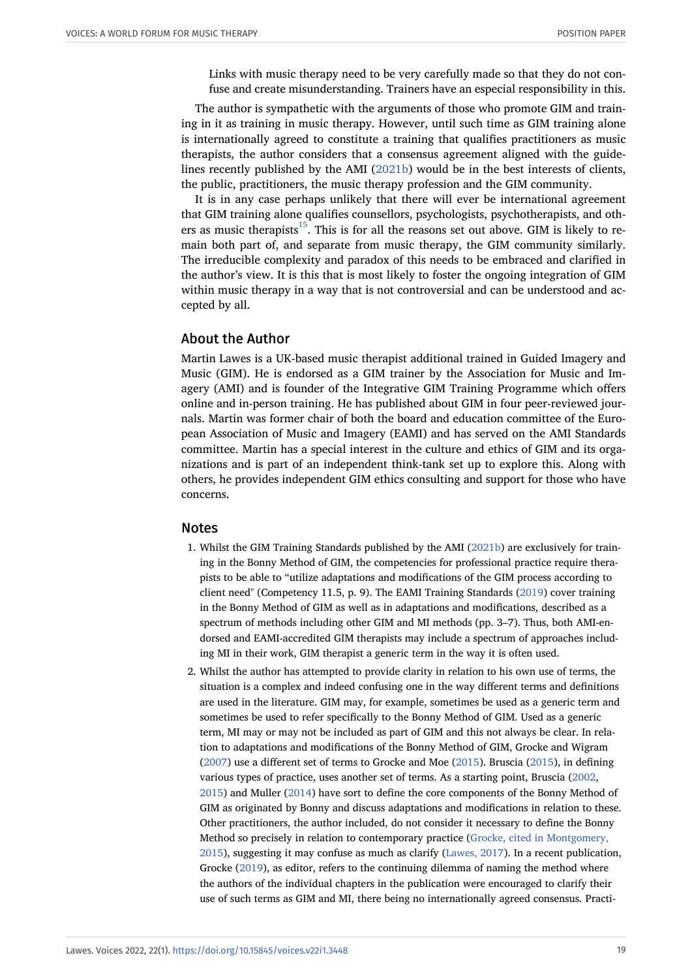Links with music therapy need to be very carefully made so that they do not confuse and create misunderstanding. Trainers have an especial responsibility in this.

The author is sympathetic with the arguments of those who promote GIM and training in it as training in music therapy. However, until such time as GIM training alone is internationally agreed to constitute a training that qualifies practitioners as music therapists, the author considers that a consensus agreement aligned with the guidelines recently published by the AMI [\(2021b](#page-21-0)) would be in the best interests of clients, the public, practitioners, the music therapy profession and the GIM community.

It is in any case perhaps unlikely that there will ever be international agreement that GIM training alone qualifies counsellors, psychologists, psychotherapists, and oth-ers as music therapists<sup>[15](#page-21-10)</sup>. This is for all the reasons set out above. GIM is likely to remain both part of, and separate from music therapy, the GIM community similarly. The irreducible complexity and paradox of this needs to be embraced and clarified in the author's view. It is this that is most likely to foster the ongoing integration of GIM within music therapy in a way that is not controversial and can be understood and accepted by all.

#### About the Author

Martin Lawes is a UK-based music therapist additional trained in Guided Imagery and Music (GIM). He is endorsed as a GIM trainer by the Association for Music and Imagery (AMI) and is founder of the Integrative GIM Training Programme which offers online and in-person training. He has published about GIM in four peer-reviewed journals. Martin was former chair of both the board and education committee of the European Association of Music and Imagery (EAMI) and has served on the AMI Standards committee. Martin has a special interest in the culture and ethics of GIM and its organizations and is part of an independent think-tank set up to explore this. Along with others, he provides independent GIM ethics consulting and support for those who have concerns.

#### <span id="page-18-0"></span>Notes

- 1. Whilst the GIM Training Standards published by the AMI ([2021b\)](#page-21-0) are exclusively for training in the Bonny Method of GIM, the competencies for professional practice require therapists to be able to "utilize adaptations and modifications of the GIM process according to client need" (Competency 11.5, p. 9). The EAMI Training Standards [\(2019\)](#page-22-9) cover training in the Bonny Method of GIM as well as in adaptations and modifications, described as a spectrum of methods including other GIM and MI methods (pp. 3–7). Thus, both AMI-endorsed and EAMI-accredited GIM therapists may include a spectrum of approaches including MI in their work, GIM therapist a generic term in the way it is often used.
- <span id="page-18-1"></span>2. Whilst the author has attempted to provide clarity in relation to his own use of terms, the situation is a complex and indeed confusing one in the way different terms and definitions are used in the literature. GIM may, for example, sometimes be used as a generic term and sometimes be used to refer specifically to the Bonny Method of GIM. Used as a generic term, MI may or may not be included as part of GIM and this not always be clear. In relation to adaptations and modifications of the Bonny Method of GIM, Grocke and Wigram [\(2007\)](#page-23-9) use a different set of terms to Grocke and Moe [\(2015\)](#page-23-0). Bruscia [\(2015\)](#page-22-1), in defining various types of practice, uses another set of terms. As a starting point, Bruscia [\(2002,](#page-22-18) [2015](#page-22-1)) and Muller ([2014](#page-23-1)) have sort to define the core components of the Bonny Method of GIM as originated by Bonny and discuss adaptations and modifications in relation to these. Other practitioners, the author included, do not consider it necessary to define the Bonny Method so precisely in relation to contemporary practice ([Grocke, cited in Montgomery,](#page-23-0) [2015](#page-23-0)), suggesting it may confuse as much as clarify ([Lawes, 2017\)](#page-23-5). In a recent publication, Grocke ([2019](#page-22-5)), as editor, refers to the continuing dilemma of naming the method where the authors of the individual chapters in the publication were encouraged to clarify their use of such terms as GIM and MI, there being no internationally agreed consensus. Practi-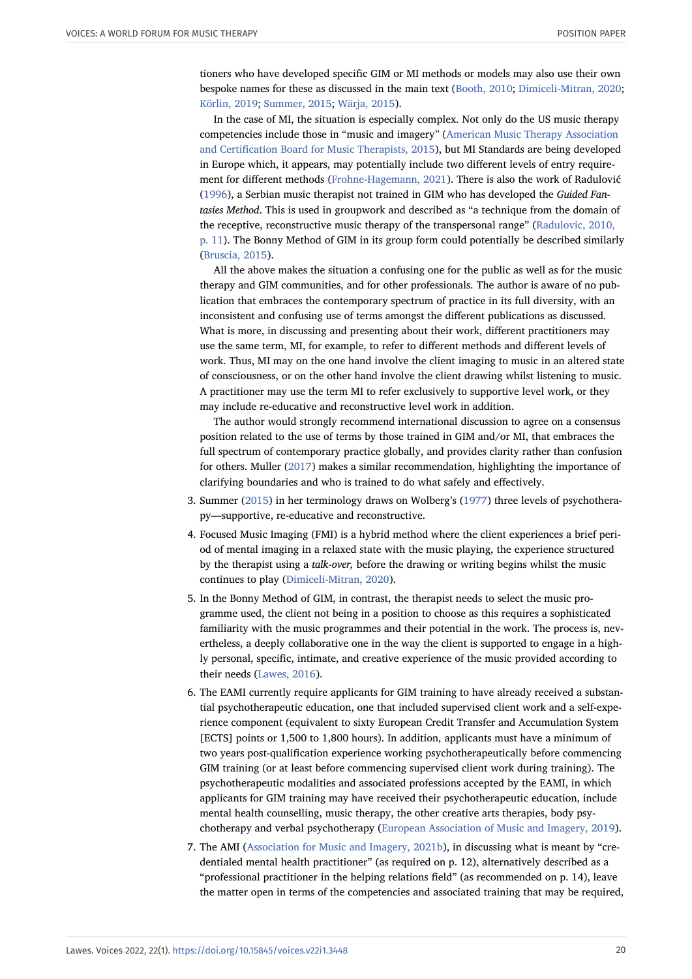tioners who have developed specific GIM or MI methods or models may also use their own bespoke names for these as discussed in the main text [\(Booth, 2010](#page-22-7); [Dimiceli-Mitran, 2020;](#page-22-8) [Körlin, 2019;](#page-23-4) [Summer, 2015;](#page-24-1) [Wärja, 2015\)](#page-24-2).

In the case of MI, the situation is especially complex. Not only do the US music therapy competencies include those in "music and imagery" [\(American Music Therapy Association](#page-21-3) [and Certification Board for Music Therapists, 2015](#page-21-3)), but MI Standards are being developed in Europe which, it appears, may potentially include two different levels of entry requirement for different methods [\(Frohne-Hagemann, 2021\)](#page-22-10). There is also the work of Radulović [\(1996\)](#page-23-15), a Serbian music therapist not trained in GIM who has developed the *Guided Fantasies Method*. This is used in groupwork and described as "a technique from the domain of the receptive, reconstructive music therapy of the transpersonal range" ([Radulovic, 2010,](#page-23-16) [p. 11](#page-23-16)). The Bonny Method of GIM in its group form could potentially be described similarly [\(Bruscia, 2015\)](#page-22-1).

All the above makes the situation a confusing one for the public as well as for the music therapy and GIM communities, and for other professionals. The author is aware of no publication that embraces the contemporary spectrum of practice in its full diversity, with an inconsistent and confusing use of terms amongst the different publications as discussed. What is more, in discussing and presenting about their work, different practitioners may use the same term, MI, for example, to refer to different methods and different levels of work. Thus, MI may on the one hand involve the client imaging to music in an altered state of consciousness, or on the other hand involve the client drawing whilst listening to music. A practitioner may use the term MI to refer exclusively to supportive level work, or they may include re-educative and reconstructive level work in addition.

The author would strongly recommend international discussion to agree on a consensus position related to the use of terms by those trained in GIM and/or MI, that embraces the full spectrum of contemporary practice globally, and provides clarity rather than confusion for others. Muller ([2017](#page-23-14)) makes a similar recommendation, highlighting the importance of clarifying boundaries and who is trained to do what safely and effectively.

- <span id="page-19-0"></span>3. Summer ([2015](#page-24-1)) in her terminology draws on Wolberg's [\(1977](#page-24-13)) three levels of psychotherapy––supportive, re-educative and reconstructive.
- <span id="page-19-1"></span>4. Focused Music Imaging (FMI) is a hybrid method where the client experiences a brief period of mental imaging in a relaxed state with the music playing, the experience structured by the therapist using a *talk-over,* before the drawing or writing begins whilst the music continues to play [\(Dimiceli-Mitran, 2020\)](#page-22-8).
- <span id="page-19-2"></span>5. In the Bonny Method of GIM, in contrast, the therapist needs to select the music programme used, the client not being in a position to choose as this requires a sophisticated familiarity with the music programmes and their potential in the work. The process is, nevertheless, a deeply collaborative one in the way the client is supported to engage in a highly personal, specific, intimate, and creative experience of the music provided according to their needs ([Lawes, 2016\)](#page-23-17).
- <span id="page-19-3"></span>6. The EAMI currently require applicants for GIM training to have already received a substantial psychotherapeutic education, one that included supervised client work and a self-experience component (equivalent to sixty European Credit Transfer and Accumulation System [ECTS] points or 1,500 to 1,800 hours). In addition, applicants must have a minimum of two years post-qualification experience working psychotherapeutically before commencing GIM training (or at least before commencing supervised client work during training). The psychotherapeutic modalities and associated professions accepted by the EAMI, in which applicants for GIM training may have received their psychotherapeutic education, include mental health counselling, music therapy, the other creative arts therapies, body psychotherapy and verbal psychotherapy ([European Association of Music and Imagery, 2019](#page-22-9)).
- <span id="page-19-4"></span>7. The AMI [\(Association for Music and Imagery, 2021b](#page-21-0)), in discussing what is meant by "credentialed mental health practitioner" (as required on p. 12), alternatively described as a "professional practitioner in the helping relations field" (as recommended on p. 14), leave the matter open in terms of the competencies and associated training that may be required,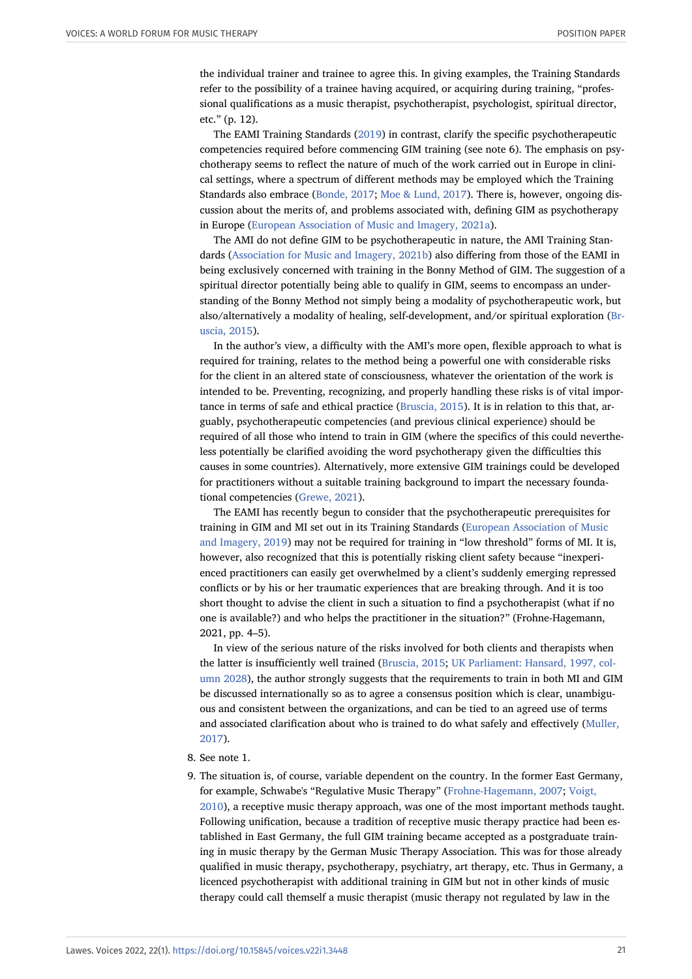the individual trainer and trainee to agree this. In giving examples, the Training Standards refer to the possibility of a trainee having acquired, or acquiring during training, "professional qualifications as a music therapist, psychotherapist, psychologist, spiritual director, etc." (p. 12).

The EAMI Training Standards [\(2019](#page-22-9)) in contrast, clarify the specific psychotherapeutic competencies required before commencing GIM training (see note 6). The emphasis on psychotherapy seems to reflect the nature of much of the work carried out in Europe in clinical settings, where a spectrum of different methods may be employed which the Training Standards also embrace ([Bonde, 2017](#page-22-3); [Moe & Lund, 2017\)](#page-23-2). There is, however, ongoing discussion about the merits of, and problems associated with, defining GIM as psychotherapy in Europe ([European Association of Music and Imagery, 2021a\)](#page-22-0).

The AMI do not define GIM to be psychotherapeutic in nature, the AMI Training Standards ([Association for Music and Imagery, 2021b](#page-21-0)) also differing from those of the EAMI in being exclusively concerned with training in the Bonny Method of GIM. The suggestion of a spiritual director potentially being able to qualify in GIM, seems to encompass an understanding of the Bonny Method not simply being a modality of psychotherapeutic work, but also/alternatively a modality of healing, self-development, and/or spiritual exploration ([Br](#page-22-1)[uscia, 2015\)](#page-22-1).

In the author's view, a difficulty with the AMI's more open, flexible approach to what is required for training, relates to the method being a powerful one with considerable risks for the client in an altered state of consciousness, whatever the orientation of the work is intended to be. Preventing, recognizing, and properly handling these risks is of vital importance in terms of safe and ethical practice [\(Bruscia, 2015\)](#page-22-1). It is in relation to this that, arguably, psychotherapeutic competencies (and previous clinical experience) should be required of all those who intend to train in GIM (where the specifics of this could nevertheless potentially be clarified avoiding the word psychotherapy given the difficulties this causes in some countries). Alternatively, more extensive GIM trainings could be developed for practitioners without a suitable training background to impart the necessary foundational competencies [\(Grewe, 2021](#page-22-19)).

The EAMI has recently begun to consider that the psychotherapeutic prerequisites for training in GIM and MI set out in its Training Standards ([European Association of Music](#page-22-9) [and Imagery, 2019](#page-22-9)) may not be required for training in "low threshold" forms of MI. It is, however, also recognized that this is potentially risking client safety because "inexperienced practitioners can easily get overwhelmed by a client's suddenly emerging repressed conflicts or by his or her traumatic experiences that are breaking through. And it is too short thought to advise the client in such a situation to find a psychotherapist (what if no one is available?) and who helps the practitioner in the situation?" (Frohne-Hagemann, 2021, pp. 4–5).

In view of the serious nature of the risks involved for both clients and therapists when the latter is insufficiently well trained ([Bruscia, 2015](#page-22-1); [UK Parliament: Hansard, 1997, col](#page-24-7)[umn 2028\)](#page-24-7), the author strongly suggests that the requirements to train in both MI and GIM be discussed internationally so as to agree a consensus position which is clear, unambiguous and consistent between the organizations, and can be tied to an agreed use of terms and associated clarification about who is trained to do what safely and effectively [\(Muller,](#page-23-14) [2017](#page-23-14)).

- <span id="page-20-0"></span>8. See note 1.
- <span id="page-20-1"></span>9. The situation is, of course, variable dependent on the country. In the former East Germany, for example, Schwabe's "Regulative Music Therapy" [\(Frohne-Hagemann, 2007](#page-22-13); [Voigt,](#page-24-14) [2010](#page-24-14)), a receptive music therapy approach, was one of the most important methods taught. Following unification, because a tradition of receptive music therapy practice had been established in East Germany, the full GIM training became accepted as a postgraduate training in music therapy by the German Music Therapy Association. This was for those already qualified in music therapy, psychotherapy, psychiatry, art therapy, etc. Thus in Germany, a licenced psychotherapist with additional training in GIM but not in other kinds of music therapy could call themself a music therapist (music therapy not regulated by law in the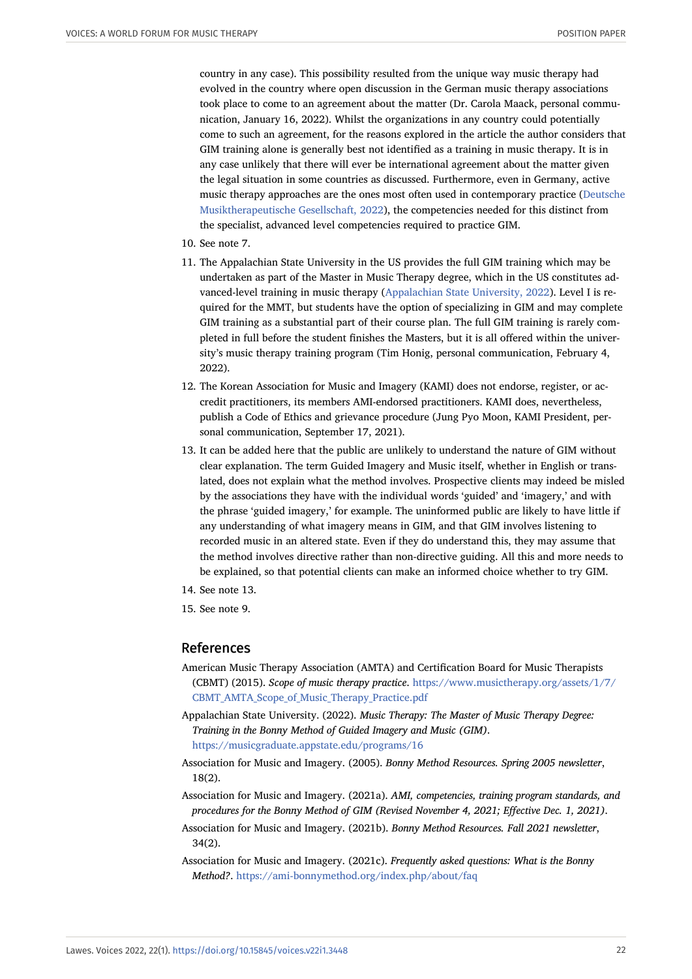country in any case). This possibility resulted from the unique way music therapy had evolved in the country where open discussion in the German music therapy associations took place to come to an agreement about the matter (Dr. Carola Maack, personal communication, January 16, 2022). Whilst the organizations in any country could potentially come to such an agreement, for the reasons explored in the article the author considers that GIM training alone is generally best not identified as a training in music therapy. It is in any case unlikely that there will ever be international agreement about the matter given the legal situation in some countries as discussed. Furthermore, even in Germany, active music therapy approaches are the ones most often used in contemporary practice ([Deutsche](#page-22-20) [Musiktherapeutische Gesellschaft, 2022](#page-22-20)), the competencies needed for this distinct from the specialist, advanced level competencies required to practice GIM.

- <span id="page-21-4"></span>10. See note 7.
- <span id="page-21-5"></span>11. The Appalachian State University in the US provides the full GIM training which may be undertaken as part of the Master in Music Therapy degree, which in the US constitutes advanced-level training in music therapy ([Appalachian State University, 2022\)](#page-21-11). Level I is required for the MMT, but students have the option of specializing in GIM and may complete GIM training as a substantial part of their course plan. The full GIM training is rarely completed in full before the student finishes the Masters, but it is all offered within the university's music therapy training program (Tim Honig, personal communication, February 4, 2022).
- <span id="page-21-7"></span>12. The Korean Association for Music and Imagery (KAMI) does not endorse, register, or accredit practitioners, its members AMI-endorsed practitioners. KAMI does, nevertheless, publish a Code of Ethics and grievance procedure (Jung Pyo Moon, KAMI President, personal communication, September 17, 2021).
- <span id="page-21-8"></span>13. It can be added here that the public are unlikely to understand the nature of GIM without clear explanation. The term Guided Imagery and Music itself, whether in English or translated, does not explain what the method involves. Prospective clients may indeed be misled by the associations they have with the individual words 'guided' and 'imagery,' and with the phrase 'guided imagery,' for example. The uninformed public are likely to have little if any understanding of what imagery means in GIM, and that GIM involves listening to recorded music in an altered state. Even if they do understand this, they may assume that the method involves directive rather than non-directive guiding. All this and more needs to be explained, so that potential clients can make an informed choice whether to try GIM.
- <span id="page-21-9"></span>14. See note 13.
- <span id="page-21-10"></span>15. See note 9.

#### References

- <span id="page-21-3"></span>American Music Therapy Association (AMTA) and Certification Board for Music Therapists (CBMT) (2015). *Scope of music therapy practice*. [https://www.musictherapy.org/assets/1/7/](https://www.musictherapy.org/assets/1/7/CBMT_AMTA_Scope_of_Music_Therapy_Practice.pdf) [CBMT\\_AMTA\\_Scope\\_of\\_Music\\_Therapy\\_Practice.pdf](https://www.musictherapy.org/assets/1/7/CBMT_AMTA_Scope_of_Music_Therapy_Practice.pdf)
- <span id="page-21-11"></span>Appalachian State University. (2022). *Music Therapy: The Master of Music Therapy Degree: Training in the Bonny Method of Guided Imagery and Music (GIM)*. <https://musicgraduate.appstate.edu/programs/16>
- <span id="page-21-2"></span>Association for Music and Imagery. (2005). *Bonny Method Resources. Spring 2005 newsletter*, 18(2).
- <span id="page-21-1"></span>Association for Music and Imagery. (2021a). *AMI, competencies, training program standards, and procedures for the Bonny Method of GIM (Revised November 4, 2021; Effective Dec. 1, 2021)*.
- <span id="page-21-0"></span>Association for Music and Imagery. (2021b). *Bonny Method Resources. Fall 2021 newsletter*, 34(2).
- <span id="page-21-6"></span>Association for Music and Imagery. (2021c). *Frequently asked questions: What is the Bonny Method?*. <https://ami-bonnymethod.org/index.php/about/faq>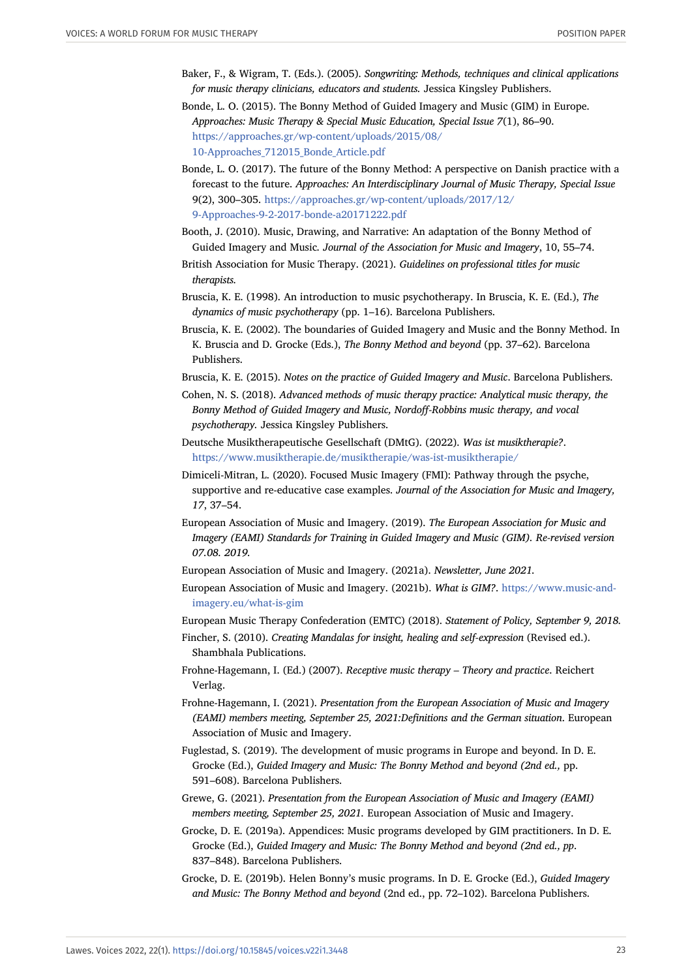- <span id="page-22-14"></span>Baker, F., & Wigram, T. (Eds.). (2005). *Songwriting: Methods, techniques and clinical applications for music therapy clinicians, educators and students.* Jessica Kingsley Publishers.
- Bonde, L. O. (2015). The Bonny Method of Guided Imagery and Music (GIM) in Europe. *Approaches: Music Therapy & Special Music Education, Special Issue 7*(1), 86–90. [https://approaches.gr/wp-content/uploads/2015/08/](https://approaches.gr/wp-content/uploads/2015/08/10-Approaches_712015_Bonde_Article.pdf) [10-Approaches\\_712015\\_Bonde\\_Article.pdf](https://approaches.gr/wp-content/uploads/2015/08/10-Approaches_712015_Bonde_Article.pdf)
- <span id="page-22-3"></span>Bonde, L. O. (2017). The future of the Bonny Method: A perspective on Danish practice with a forecast to the future. *Approaches: An Interdisciplinary Journal of Music Therapy, Special Issue* 9(2), 300–305. [https://approaches.gr/wp-content/uploads/2017/12/](https://approaches.gr/wp-content/uploads/2017/12/9-Approaches-9-2-2017-bonde-a20171222.pdf) [9-Approaches-9-2-2017-bonde-a20171222.pdf](https://approaches.gr/wp-content/uploads/2017/12/9-Approaches-9-2-2017-bonde-a20171222.pdf)
- <span id="page-22-7"></span>Booth, J. (2010). Music, Drawing, and Narrative: An adaptation of the Bonny Method of Guided Imagery and Music*. Journal of the Association for Music and Imagery*, 10, 55–74.
- <span id="page-22-15"></span>British Association for Music Therapy. (2021). *Guidelines on professional titles for music therapists.*
- <span id="page-22-17"></span>Bruscia, K. E. (1998). An introduction to music psychotherapy. In Bruscia, K. E. (Ed.), *The dynamics of music psychotherapy* (pp. 1–16). Barcelona Publishers.
- <span id="page-22-18"></span>Bruscia, K. E. (2002). The boundaries of Guided Imagery and Music and the Bonny Method. In K. Bruscia and D. Grocke (Eds.), *The Bonny Method and beyond* (pp. 37–62). Barcelona Publishers.
- <span id="page-22-12"></span><span id="page-22-1"></span>Bruscia, K. E. (2015). *Notes on the practice of Guided Imagery and Music*. Barcelona Publishers.
- Cohen, N. S. (2018). *Advanced methods of music therapy practice: Analytical music therapy, the Bonny Method of Guided Imagery and Music, Nordoff-Robbins music therapy, and vocal psychotherapy.* Jessica Kingsley Publishers.
- <span id="page-22-20"></span>Deutsche Musiktherapeutische Gesellschaft (DMtG). (2022). *Was ist musiktherapie?*. <https://www.musiktherapie.de/musiktherapie/was-ist-musiktherapie/>
- <span id="page-22-8"></span>Dimiceli-Mitran, L. (2020). Focused Music Imagery (FMI): Pathway through the psyche, supportive and re-educative case examples. *Journal of the Association for Music and Imagery, 17*, 37–54.
- <span id="page-22-9"></span>European Association of Music and Imagery. (2019). *The European Association for Music and Imagery (EAMI) Standards for Training in Guided Imagery and Music (GIM). Re-revised version 07.08. 2019.*
- <span id="page-22-0"></span>European Association of Music and Imagery. (2021a). *Newsletter, June 2021.*
- <span id="page-22-16"></span>European Association of Music and Imagery. (2021b). *What is GIM?*. [https://www.music-and](https://www.music-and-imagery.eu/what-is-gim)[imagery.eu/what-is-gim](https://www.music-and-imagery.eu/what-is-gim)
- European Music Therapy Confederation (EMTC) (2018). *Statement of Policy, September 9, 2018.*
- <span id="page-22-13"></span><span id="page-22-11"></span><span id="page-22-2"></span>Fincher, S. (2010). *Creating Mandalas for insight, healing and self-expression* (Revised ed.). Shambhala Publications.
- Frohne-Hagemann, I. (Ed.) (2007). *Receptive music therapy Theory and practice*. Reichert Verlag.
- <span id="page-22-10"></span>Frohne-Hagemann, I. (2021). *Presentation from the European Association of Music and Imagery (EAMI) members meeting, September 25, 2021:Definitions and the German situation*. European Association of Music and Imagery.
- <span id="page-22-6"></span>Fuglestad, S. (2019). The development of music programs in Europe and beyond. In D. E. Grocke (Ed.), *Guided Imagery and Music: The Bonny Method and beyond (2nd ed.,* pp. 591–608). Barcelona Publishers.
- <span id="page-22-19"></span>Grewe, G. (2021). *Presentation from the European Association of Music and Imagery (EAMI) members meeting, September 25, 2021.* European Association of Music and Imagery.
- <span id="page-22-5"></span>Grocke, D. E. (2019a). Appendices: Music programs developed by GIM practitioners. In D. E. Grocke (Ed.), *Guided Imagery and Music: The Bonny Method and beyond (2nd ed., pp*. 837–848). Barcelona Publishers.
- <span id="page-22-4"></span>Grocke, D. E. (2019b). Helen Bonny's music programs. In D. E. Grocke (Ed.), *Guided Imagery and Music: The Bonny Method and beyond* (2nd ed., pp. 72–102). Barcelona Publishers.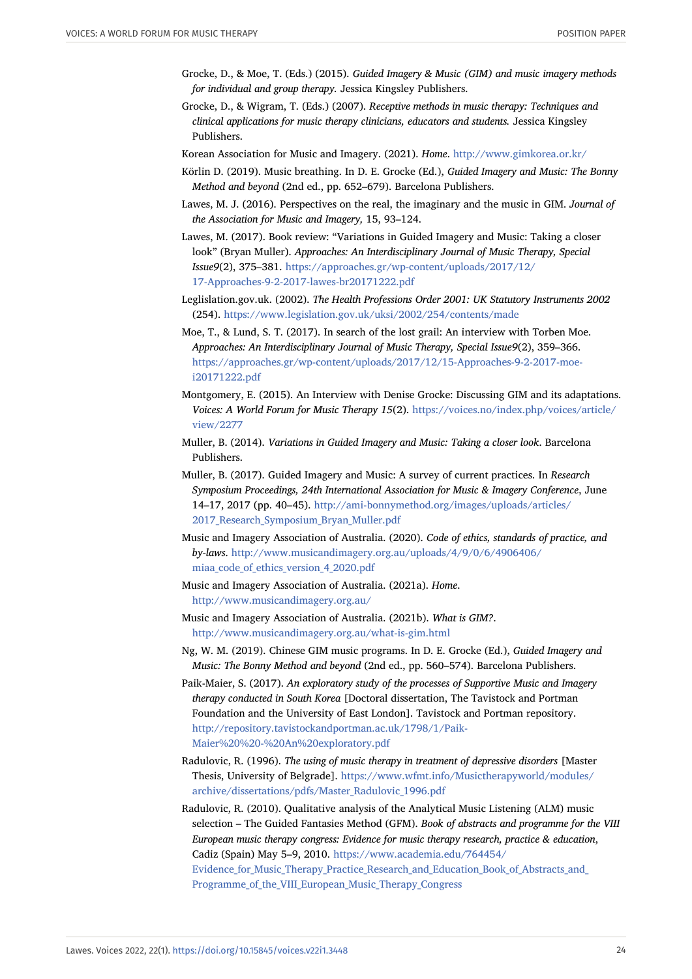- <span id="page-23-0"></span>Grocke, D., & Moe, T. (Eds.) (2015). *Guided Imagery & Music (GIM) and music imagery methods for individual and group therapy.* Jessica Kingsley Publishers.
- <span id="page-23-9"></span>Grocke, D., & Wigram, T. (Eds.) (2007). *Receptive methods in music therapy: Techniques and clinical applications for music therapy clinicians, educators and students.* Jessica Kingsley Publishers.
- <span id="page-23-13"></span><span id="page-23-4"></span>Korean Association for Music and Imagery. (2021). *Home*. <http://www.gimkorea.or.kr/>
- Körlin D. (2019). Music breathing. In D. E. Grocke (Ed.), *Guided Imagery and Music: The Bonny Method and beyond* (2nd ed., pp. 652–679). Barcelona Publishers.
- <span id="page-23-17"></span>Lawes, M. J. (2016). Perspectives on the real, the imaginary and the music in GIM. *Journal of the Association for Music and Imagery,* 15, 93–124.
- <span id="page-23-5"></span>Lawes, M. (2017). Book review: "Variations in Guided Imagery and Music: Taking a closer look" (Bryan Muller). *Approaches: An Interdisciplinary Journal of Music Therapy, Special Issue9*(2), 375–381. [https://approaches.gr/wp-content/uploads/2017/12/](https://approaches.gr/wp-content/uploads/2017/12/17-Approaches-9-2-2017-lawes-br20171222.pdf) [17-Approaches-9-2-2017-lawes-br20171222.pdf](https://approaches.gr/wp-content/uploads/2017/12/17-Approaches-9-2-2017-lawes-br20171222.pdf)
- <span id="page-23-10"></span>Leglislation.gov.uk. (2002). *The Health Professions Order 2001: UK Statutory Instruments 2002* (254). <https://www.legislation.gov.uk/uksi/2002/254/contents/made>
- <span id="page-23-2"></span>Moe, T., & Lund, S. T. (2017). In search of the lost grail: An interview with Torben Moe. *Approaches: An Interdisciplinary Journal of Music Therapy, Special Issue9*(2), 359–366. [https://approaches.gr/wp-content/uploads/2017/12/15-Approaches-9-2-2017-moe](https://approaches.gr/wp-content/uploads/2017/12/15-Approaches-9-2-2017-moe-i20171222.pdf)[i20171222.pdf](https://approaches.gr/wp-content/uploads/2017/12/15-Approaches-9-2-2017-moe-i20171222.pdf)
- <span id="page-23-6"></span>Montgomery, E. (2015). An Interview with Denise Grocke: Discussing GIM and its adaptations. *Voices: A World Forum for Music Therapy 15*(2). [https://voices.no/index.php/voices/article/](https://voices.no/index.php/voices/article/view/2277) [view/2277](https://voices.no/index.php/voices/article/view/2277)
- <span id="page-23-1"></span>Muller, B. (2014). *Variations in Guided Imagery and Music: Taking a closer look*. Barcelona Publishers.
- <span id="page-23-14"></span>Muller, B. (2017). Guided Imagery and Music: A survey of current practices. In *Research Symposium Proceedings, 24th International Association for Music & Imagery Conference*, June 14–17, 2017 (pp. 40–45). [http://ami-bonnymethod.org/images/uploads/articles/](http://ami-bonnymethod.org/images/uploads/articles/2017_Research_Symposium_Bryan_Muller.pdf) [2017\\_Research\\_Symposium\\_Bryan\\_Muller.pdf](http://ami-bonnymethod.org/images/uploads/articles/2017_Research_Symposium_Bryan_Muller.pdf)
- <span id="page-23-8"></span>Music and Imagery Association of Australia. (2020). *Code of ethics, standards of practice, and by-laws*. [http://www.musicandimagery.org.au/uploads/4/9/0/6/4906406/](http://www.musicandimagery.org.au/uploads/4/9/0/6/4906406/miaa_code_of_ethics_version_4_2020.pdf) miaa code of ethics version 4 2020.pdf
- <span id="page-23-12"></span>Music and Imagery Association of Australia. (2021a). *Home*. <http://www.musicandimagery.org.au/>
- <span id="page-23-11"></span>Music and Imagery Association of Australia. (2021b). *What is GIM?*. <http://www.musicandimagery.org.au/what-is-gim.html>
- <span id="page-23-3"></span>Ng, W. M. (2019). Chinese GIM music programs. In D. E. Grocke (Ed.), *Guided Imagery and Music: The Bonny Method and beyond* (2nd ed., pp. 560–574). Barcelona Publishers.
- <span id="page-23-7"></span>Paik-Maier, S. (2017). *An exploratory study of the processes of Supportive Music and Imagery therapy conducted in South Korea* [Doctoral dissertation, The Tavistock and Portman Foundation and the University of East London]. Tavistock and Portman repository. [http://repository.tavistockandportman.ac.uk/1798/1/Paik-](http://repository.tavistockandportman.ac.uk/1798/1/Paik-Maier%20%20-%20An%20exploratory.pdf)[Maier%20%20-%20An%20exploratory.pdf](http://repository.tavistockandportman.ac.uk/1798/1/Paik-Maier%20%20-%20An%20exploratory.pdf)
- <span id="page-23-15"></span>Radulovic, R. (1996). *The using of music therapy in treatment of depressive disorders* [Master Thesis, University of Belgrade]. [https://www.wfmt.info/Musictherapyworld/modules/](https://www.wfmt.info/Musictherapyworld/modules/archive/dissertations/pdfs/Master_Radulovic_1996.pdf) [archive/dissertations/pdfs/Master\\_Radulovic\\_1996.pdf](https://www.wfmt.info/Musictherapyworld/modules/archive/dissertations/pdfs/Master_Radulovic_1996.pdf)
- <span id="page-23-16"></span>Radulovic, R. (2010). Qualitative analysis of the Analytical Music Listening (ALM) music selection – The Guided Fantasies Method (GFM). *Book of abstracts and programme for the VIII European music therapy congress: Evidence for music therapy research, practice & education*, Cadiz (Spain) May 5–9, 2010. [https://www.academia.edu/764454/](https://www.academia.edu/764454/%E2%80%8BEvidence_for_Music_Therapy_Practice_Research_and_Education_Book_of_Abstracts_and_%E2%80%8BProgramme_of_the_VIII_European_Music_Therapy_Congress) [Evidence\\_for\\_Music\\_Therapy\\_Practice\\_Research\\_and\\_Education\\_Book\\_of\\_Abstracts\\_and\\_](https://www.academia.edu/764454/%E2%80%8BEvidence_for_Music_Therapy_Practice_Research_and_Education_Book_of_Abstracts_and_%E2%80%8BProgramme_of_the_VIII_European_Music_Therapy_Congress) Programme of the VIII European Music Therapy Congress